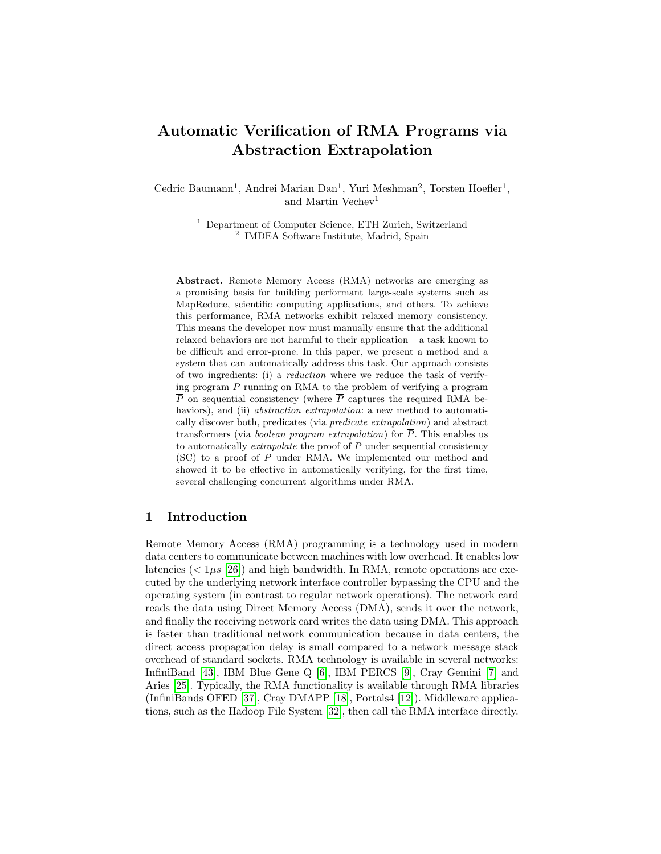# Automatic Verification of RMA Programs via Abstraction Extrapolation

Cedric Baumann<sup>1</sup>, Andrei Marian Dan<sup>1</sup>, Yuri Meshman<sup>2</sup>, Torsten Hoefler<sup>1</sup>, and Martin Vechev<sup>1</sup>

> <sup>1</sup> Department of Computer Science, ETH Zurich, Switzerland 2 IMDEA Software Institute, Madrid, Spain

Abstract. Remote Memory Access (RMA) networks are emerging as a promising basis for building performant large-scale systems such as MapReduce, scientific computing applications, and others. To achieve this performance, RMA networks exhibit relaxed memory consistency. This means the developer now must manually ensure that the additional relaxed behaviors are not harmful to their application – a task known to be difficult and error-prone. In this paper, we present a method and a system that can automatically address this task. Our approach consists of two ingredients: (i) a reduction where we reduce the task of verifying program P running on RMA to the problem of verifying a program  $\overline{P}$  on sequential consistency (where  $\overline{P}$  captures the required RMA behaviors), and (ii) *abstraction extrapolation*: a new method to automatically discover both, predicates (via predicate extrapolation) and abstract transformers (via *boolean program extrapolation*) for  $\overline{P}$ . This enables us to automatically  $extrapolate$  the proof of  $P$  under sequential consistency (SC) to a proof of P under RMA. We implemented our method and showed it to be effective in automatically verifying, for the first time, several challenging concurrent algorithms under RMA.

# 1 Introduction

Remote Memory Access (RMA) programming is a technology used in modern data centers to communicate between machines with low overhead. It enables low latencies  $( $\mu s$  [\[26\]](#page-22-0)) and high bandwidth. In RMA, remote operations are exe$ cuted by the underlying network interface controller bypassing the CPU and the operating system (in contrast to regular network operations). The network card reads the data using Direct Memory Access (DMA), sends it over the network, and finally the receiving network card writes the data using DMA. This approach is faster than traditional network communication because in data centers, the direct access propagation delay is small compared to a network message stack overhead of standard sockets. RMA technology is available in several networks: InfiniBand [\[43\]](#page-23-0), IBM Blue Gene Q [\[6\]](#page-20-0), IBM PERCS [\[9\]](#page-20-1), Cray Gemini [\[7\]](#page-20-2) and Aries [\[25\]](#page-22-1). Typically, the RMA functionality is available through RMA libraries (InfiniBands OFED [\[37\]](#page-23-1), Cray DMAPP [\[18\]](#page-21-0), Portals4 [\[12\]](#page-21-1)). Middleware applications, such as the Hadoop File System [\[32\]](#page-22-2), then call the RMA interface directly.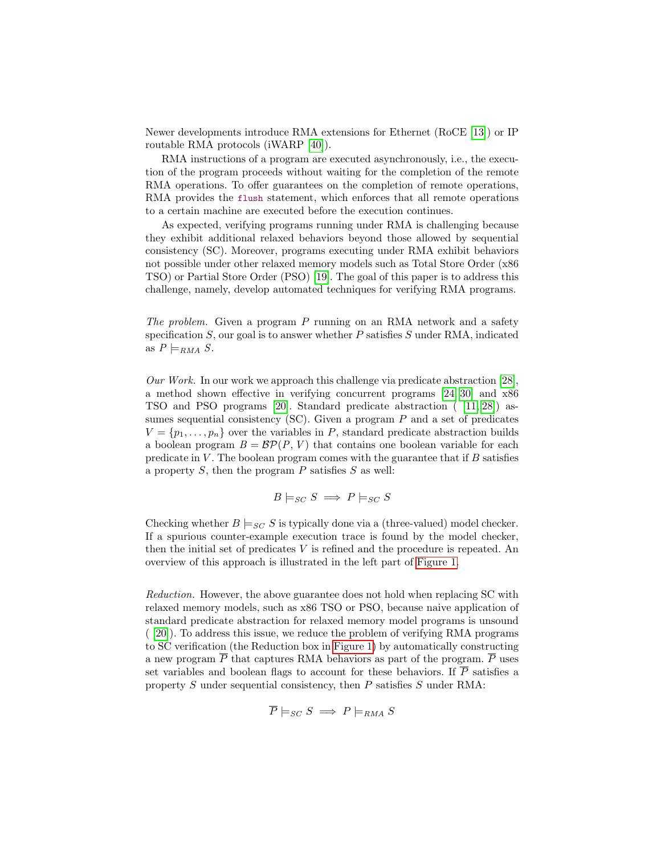Newer developments introduce RMA extensions for Ethernet (RoCE [\[13\]](#page-21-2)) or IP routable RMA protocols (iWARP [\[40\]](#page-23-2)).

RMA instructions of a program are executed asynchronously, i.e., the execution of the program proceeds without waiting for the completion of the remote RMA operations. To offer guarantees on the completion of remote operations, RMA provides the flush statement, which enforces that all remote operations to a certain machine are executed before the execution continues.

As expected, verifying programs running under RMA is challenging because they exhibit additional relaxed behaviors beyond those allowed by sequential consistency (SC). Moreover, programs executing under RMA exhibit behaviors not possible under other relaxed memory models such as Total Store Order (x86 TSO) or Partial Store Order (PSO) [\[19\]](#page-21-3). The goal of this paper is to address this challenge, namely, develop automated techniques for verifying RMA programs.

The problem. Given a program P running on an RMA network and a safety specification  $S$ , our goal is to answer whether  $P$  satisfies  $S$  under RMA, indicated as  $P \models_{RMA} S$ .

Our Work. In our work we approach this challenge via predicate abstraction [\[28\]](#page-22-3). a method shown effective in verifying concurrent programs [\[24,](#page-22-4) [30\]](#page-22-5) and x86 TSO and PSO programs [\[20\]](#page-21-4). Standard predicate abstraction ( [\[11,](#page-20-3) [28\]](#page-22-3)) assumes sequential consistency  $SC$ . Given a program  $P$  and a set of predicates  $V = \{p_1, \ldots, p_n\}$  over the variables in P, standard predicate abstraction builds a boolean program  $B = \mathcal{BP}(P, V)$  that contains one boolean variable for each predicate in  $V$ . The boolean program comes with the guarantee that if  $B$  satisfies a property  $S$ , then the program  $P$  satisfies  $S$  as well:

$$
B \models_{SC} S \implies P \models_{SC} S
$$

Checking whether  $B \models_{SC} S$  is typically done via a (three-valued) model checker. If a spurious counter-example execution trace is found by the model checker, then the initial set of predicates  $V$  is refined and the procedure is repeated. An overview of this approach is illustrated in the left part of [Figure 1.](#page-2-0)

Reduction. However, the above guarantee does not hold when replacing SC with relaxed memory models, such as x86 TSO or PSO, because naive application of standard predicate abstraction for relaxed memory model programs is unsound ( [\[20\]](#page-21-4)). To address this issue, we reduce the problem of verifying RMA programs to SC verification (the Reduction box in [Figure 1\)](#page-2-0) by automatically constructing a new program  $\overline{P}$  that captures RMA behaviors as part of the program.  $\overline{P}$  uses set variables and boolean flags to account for these behaviors. If  $\overline{P}$  satisfies a property S under sequential consistency, then P satisfies S under RMA:

$$
\overline{P} \models_{SC} S \implies P \models_{RMA} S
$$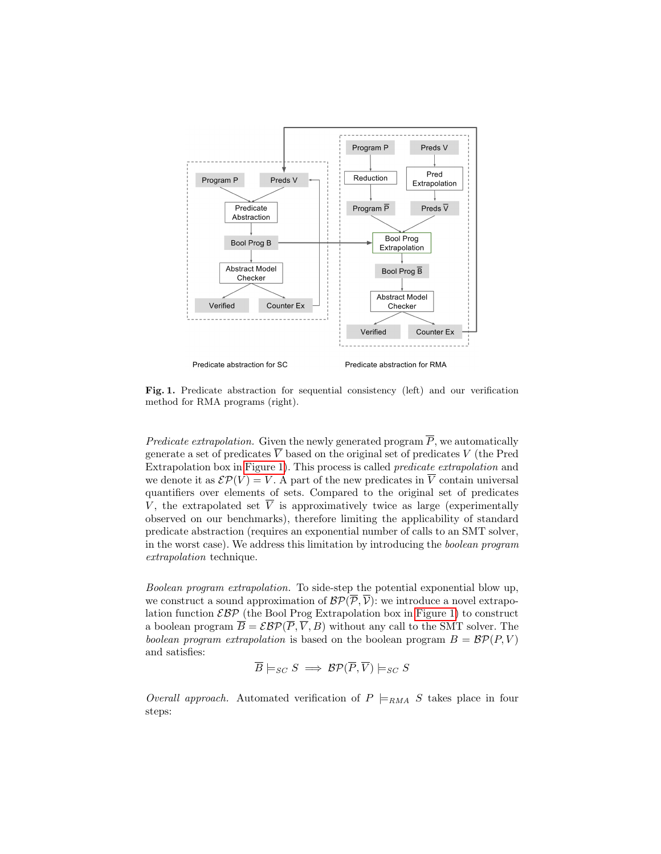

<span id="page-2-0"></span>Fig. 1. Predicate abstraction for sequential consistency (left) and our verification method for RMA programs (right).

*Predicate extrapolation.* Given the newly generated program  $\overline{P}$ , we automatically generate a set of predicates  $\overline{V}$  based on the original set of predicates V (the Pred Extrapolation box in [Figure 1\)](#page-2-0). This process is called predicate extrapolation and we denote it as  $\mathcal{E} \mathcal{P}(V) = \overline{V}$ . A part of the new predicates in  $\overline{V}$  contain universal quantifiers over elements of sets. Compared to the original set of predicates V, the extrapolated set  $\overline{V}$  is approximatively twice as large (experimentally observed on our benchmarks), therefore limiting the applicability of standard predicate abstraction (requires an exponential number of calls to an SMT solver, in the worst case). We address this limitation by introducing the boolean program extrapolation technique.

Boolean program extrapolation. To side-step the potential exponential blow up, we construct a sound approximation of  $\mathcal{BP}(\overline{\mathcal{P}}, \overline{\mathcal{V}})$ : we introduce a novel extrapolation function  $\mathcal{EBP}$  (the Bool Prog Extrapolation box in [Figure 1\)](#page-2-0) to construct a boolean program  $\overline{B} = \mathcal{E} \mathcal{B} \mathcal{P}(\overline{P}, \overline{V}, B)$  without any call to the SMT solver. The boolean program extrapolation is based on the boolean program  $B = \mathcal{BP}(P, V)$ and satisfies:

$$
\overline{B} \models_{SC} S \implies \mathcal{BP}(\overline{P}, \overline{V}) \models_{SC} S
$$

Overall approach. Automated verification of  $P \models_{RMA} S$  takes place in four steps: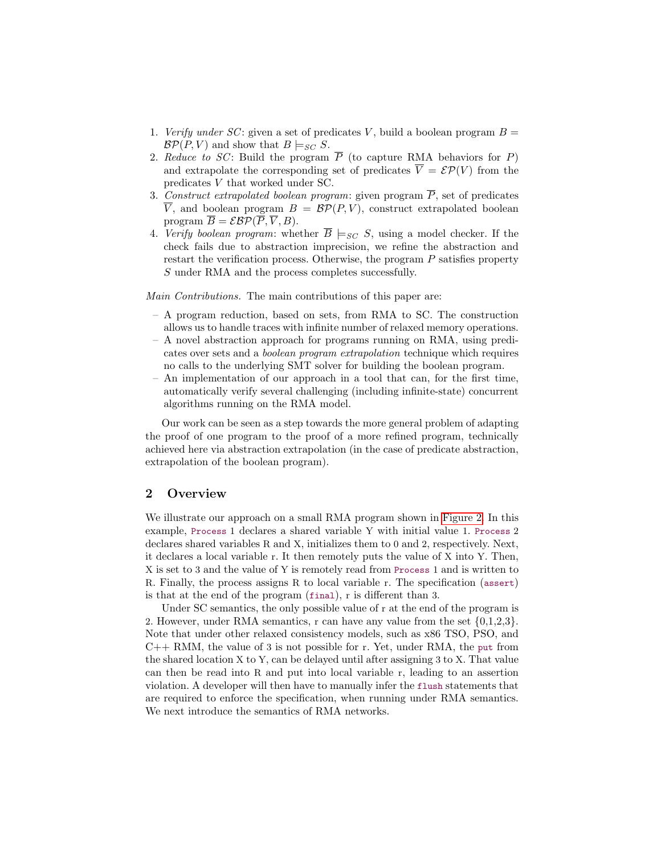- 1. Verify under SC: given a set of predicates V, build a boolean program  $B =$  $\mathcal{BP}(P, V)$  and show that  $B \models_{SC} S$ .
- 2. Reduce to SC: Build the program  $\overline{P}$  (to capture RMA behaviors for P) and extrapolate the corresponding set of predicates  $\overline{V} = \mathcal{E} \mathcal{P}(V)$  from the predicates V that worked under SC.
- 3. Construct extrapolated boolean program: given program  $\overline{P}$ , set of predicates  $\overline{V}$ , and boolean program  $B = \mathcal{BP}(P, V)$ , construct extrapolated boolean program  $\overline{B} = \mathcal{EBP}(\overline{P}, \overline{V}, B)$ .
- 4. Verify boolean program: whether  $\overline{B} \models_{SC} S$ , using a model checker. If the check fails due to abstraction imprecision, we refine the abstraction and restart the verification process. Otherwise, the program P satisfies property S under RMA and the process completes successfully.

Main Contributions. The main contributions of this paper are:

- A program reduction, based on sets, from RMA to SC. The construction allows us to handle traces with infinite number of relaxed memory operations.
- A novel abstraction approach for programs running on RMA, using predicates over sets and a boolean program extrapolation technique which requires no calls to the underlying SMT solver for building the boolean program.
- An implementation of our approach in a tool that can, for the first time, automatically verify several challenging (including infinite-state) concurrent algorithms running on the RMA model.

Our work can be seen as a step towards the more general problem of adapting the proof of one program to the proof of a more refined program, technically achieved here via abstraction extrapolation (in the case of predicate abstraction, extrapolation of the boolean program).

### 2 Overview

We illustrate our approach on a small RMA program shown in [Figure 2.](#page-4-0) In this example, Process 1 declares a shared variable Y with initial value 1. Process 2 declares shared variables R and X, initializes them to 0 and 2, respectively. Next, it declares a local variable r. It then remotely puts the value of X into Y. Then, X is set to 3 and the value of Y is remotely read from Process 1 and is written to R. Finally, the process assigns R to local variable r. The specification (assert) is that at the end of the program (final), r is different than 3.

Under SC semantics, the only possible value of r at the end of the program is 2. However, under RMA semantics, r can have any value from the set  $\{0,1,2,3\}$ . Note that under other relaxed consistency models, such as x86 TSO, PSO, and C++ RMM, the value of 3 is not possible for r. Yet, under RMA, the put from the shared location X to Y, can be delayed until after assigning 3 to X. That value can then be read into R and put into local variable r, leading to an assertion violation. A developer will then have to manually infer the flush statements that are required to enforce the specification, when running under RMA semantics. We next introduce the semantics of RMA networks.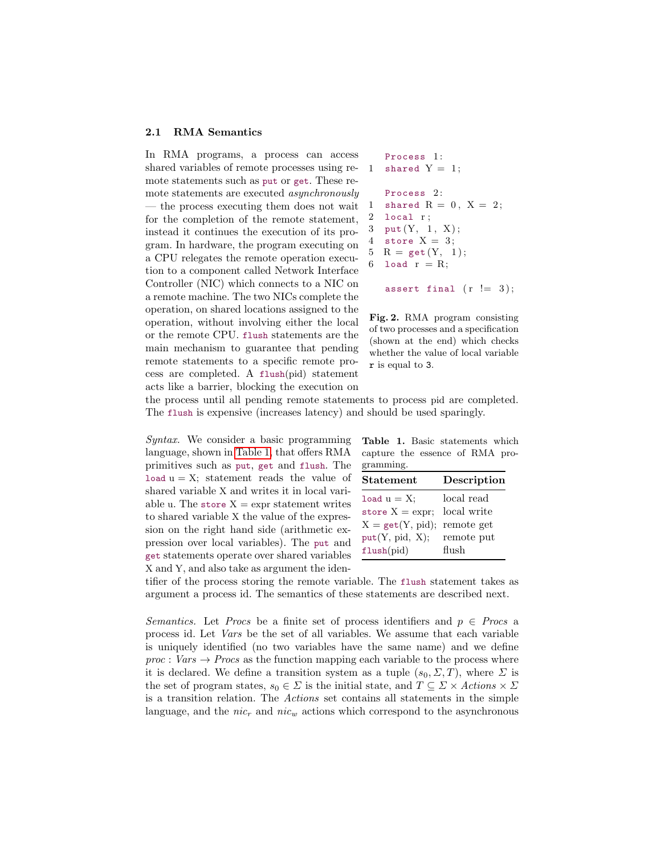#### 2.1 RMA Semantics

In RMA programs, a process can access shared variables of remote processes using remote statements such as put or get. These remote statements are executed asynchronously — the process executing them does not wait for the completion of the remote statement, instead it continues the execution of its program. In hardware, the program executing on a CPU relegates the remote operation execution to a component called Network Interface Controller (NIC) which connects to a NIC on a remote machine. The two NICs complete the operation, on shared locations assigned to the operation, without involving either the local or the remote CPU. flush statements are the main mechanism to guarantee that pending remote statements to a specific remote process are completed. A flush(pid) statement acts like a barrier, blocking the execution on

```
Process 1:
1 shared Y = 1:
   Process<sub>2</sub>:
1 shared R = 0, X = 2;
2 local r ;
3 put (Y, 1, X);4 store X = 3;
5 R = get(Y, 1);6 load r = R;
```
<span id="page-4-0"></span>assert final  $(r := 3);$ 

Fig. 2. RMA program consisting of two processes and a specification (shown at the end) which checks whether the value of local variable r is equal to 3.

the process until all pending remote statements to process pid are completed. The flush is expensive (increases latency) and should be used sparingly.

Syntax. We consider a basic programming language, shown in [Table 1,](#page-4-1) that offers RMA primitives such as put, get and flush. The load  $u = X$ ; statement reads the value of shared variable X and writes it in local variable u. The store  $X = e^{x}$  statement writes to shared variable X the value of the expression on the right hand side (arithmetic expression over local variables). The put and get statements operate over shared variables X and Y, and also take as argument the iden-

<span id="page-4-1"></span>Table 1. Basic statements which capture the essence of RMA programming.

| Statement                 | Description |
|---------------------------|-------------|
| load $u = X$ ;            | local read  |
| store $X = \text{expr}$ ; | local write |
| $X = get(Y, pid);$        | remote get  |
| put(Y, pid, X);           | remote put  |
| flush(pid)                | flush       |

tifier of the process storing the remote variable. The flush statement takes as argument a process id. The semantics of these statements are described next.

Semantics. Let Procs be a finite set of process identifiers and  $p \in Procs$  a process id. Let Vars be the set of all variables. We assume that each variable is uniquely identified (no two variables have the same name) and we define  $proc: Vars \rightarrow Procs$  as the function mapping each variable to the process where it is declared. We define a transition system as a tuple  $(s_0, \Sigma, T)$ , where  $\Sigma$  is the set of program states,  $s_0 \in \Sigma$  is the initial state, and  $T \subseteq \Sigma \times Actions \times \Sigma$ is a transition relation. The Actions set contains all statements in the simple language, and the  $nic<sub>r</sub>$  and  $nic<sub>w</sub>$  actions which correspond to the asynchronous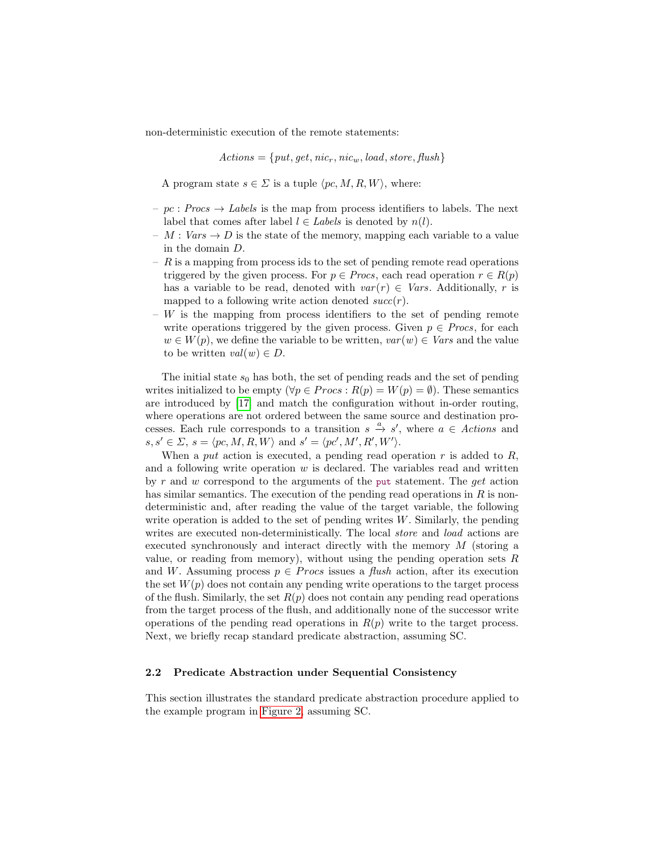non-deterministic execution of the remote statements:

 $\textit{Actions} = \{ put, get, nic_r, nic_w, load, store, flush \}$ 

A program state  $s \in \Sigma$  is a tuple  $\langle pc, M, R, W \rangle$ , where:

- $pc: Procs \rightarrow Labels$  is the map from process identifiers to labels. The next label that comes after label  $l \in \text{Labels}$  is denoted by  $n(l)$ .
- $M : Vars \to D$  is the state of the memory, mapping each variable to a value in the domain D.
- $R$  is a mapping from process ids to the set of pending remote read operations triggered by the given process. For  $p \in Procs$ , each read operation  $r \in R(p)$ has a variable to be read, denoted with  $var(r) \in Vars$ . Additionally, r is mapped to a following write action denoted  $succ(r)$ .
- $-$  W is the mapping from process identifiers to the set of pending remote write operations triggered by the given process. Given  $p \in Procs$ , for each  $w \in W(p)$ , we define the variable to be written,  $var(w) \in Vars$  and the value to be written  $val(w) \in D$ .

The initial state  $s_0$  has both, the set of pending reads and the set of pending writes initialized to be empty  $(\forall p \in Procs : R(p) = W(p) = \emptyset)$ . These semantics are introduced by [\[17\]](#page-21-5) and match the configuration without in-order routing, where operations are not ordered between the same source and destination processes. Each rule corresponds to a transition  $s \stackrel{a}{\rightarrow} s'$ , where  $a \in Actions$  and  $s, s' \in \Sigma$ ,  $s = \langle pc, M, R, W \rangle$  and  $s' = \langle pc', M', R', W' \rangle$ .

When a put action is executed, a pending read operation  $r$  is added to  $R$ , and a following write operation  $w$  is declared. The variables read and written by r and w correspond to the arguments of the put statement. The get action has similar semantics. The execution of the pending read operations in  $R$  is nondeterministic and, after reading the value of the target variable, the following write operation is added to the set of pending writes  $W$ . Similarly, the pending writes are executed non-deterministically. The local *store* and *load* actions are executed synchronously and interact directly with the memory M (storing a value, or reading from memory), without using the pending operation sets  $R$ and W. Assuming process  $p \in Procs$  issues a *flush* action, after its execution the set  $W(p)$  does not contain any pending write operations to the target process of the flush. Similarly, the set  $R(p)$  does not contain any pending read operations from the target process of the flush, and additionally none of the successor write operations of the pending read operations in  $R(p)$  write to the target process. Next, we briefly recap standard predicate abstraction, assuming SC.

### <span id="page-5-0"></span>2.2 Predicate Abstraction under Sequential Consistency

This section illustrates the standard predicate abstraction procedure applied to the example program in [Figure 2,](#page-4-0) assuming SC.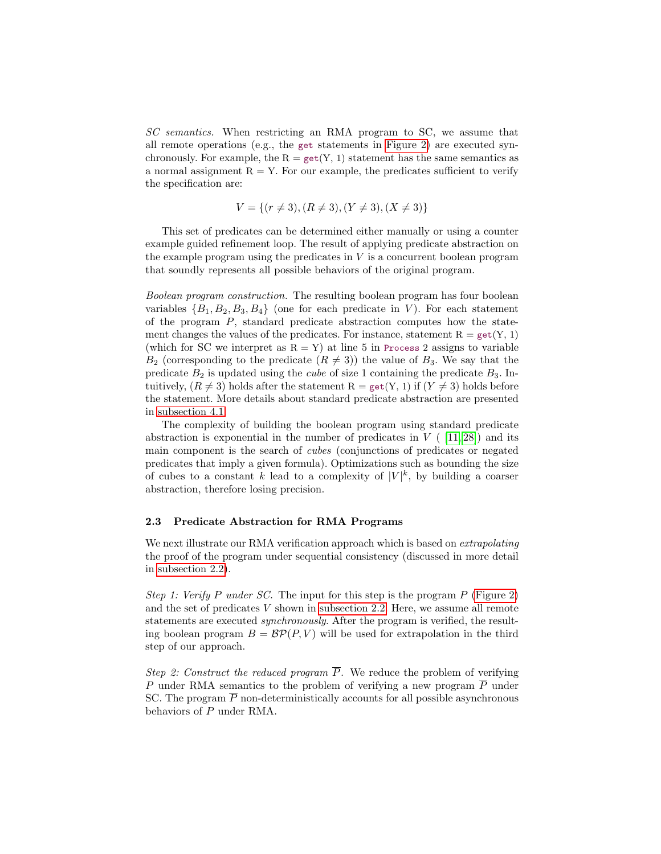SC semantics. When restricting an RMA program to SC, we assume that all remote operations (e.g., the get statements in [Figure 2\)](#page-4-0) are executed synchronously. For example, the  $R = get(Y, 1)$  statement has the same semantics as a normal assignment  $R = Y$ . For our example, the predicates sufficient to verify the specification are:

$$
V = \{(r \neq 3), (R \neq 3), (Y \neq 3), (X \neq 3)\}\
$$

This set of predicates can be determined either manually or using a counter example guided refinement loop. The result of applying predicate abstraction on the example program using the predicates in  $V$  is a concurrent boolean program that soundly represents all possible behaviors of the original program.

Boolean program construction. The resulting boolean program has four boolean variables  ${B_1, B_2, B_3, B_4}$  (one for each predicate in V). For each statement of the program P, standard predicate abstraction computes how the statement changes the values of the predicates. For instance, statement  $R = get(Y, 1)$ (which for SC we interpret as  $R = Y$ ) at line 5 in Process 2 assigns to variable  $B_2$  (corresponding to the predicate  $(R \neq 3)$ ) the value of  $B_3$ . We say that the predicate  $B_2$  is updated using the *cube* of size 1 containing the predicate  $B_3$ . Intuitively,  $(R \neq 3)$  holds after the statement  $R = \text{get}(Y, 1)$  if  $(Y \neq 3)$  holds before the statement. More details about standard predicate abstraction are presented in [subsection 4.1.](#page-12-0)

The complexity of building the boolean program using standard predicate abstraction is exponential in the number of predicates in  $V$  (11, 28)) and its main component is the search of cubes (conjunctions of predicates or negated predicates that imply a given formula). Optimizations such as bounding the size of cubes to a constant k lead to a complexity of  $|V|^k$ , by building a coarser abstraction, therefore losing precision.

#### 2.3 Predicate Abstraction for RMA Programs

We next illustrate our RMA verification approach which is based on *extrapolating* the proof of the program under sequential consistency (discussed in more detail in [subsection 2.2\)](#page-5-0).

Step 1: Verify P under SC. The input for this step is the program P [\(Figure 2\)](#page-4-0) and the set of predicates  $V$  shown in [subsection 2.2.](#page-5-0) Here, we assume all remote statements are executed *synchronously*. After the program is verified, the resulting boolean program  $B = \mathcal{BP}(P, V)$  will be used for extrapolation in the third step of our approach.

Step 2: Construct the reduced program  $\overline{P}$ . We reduce the problem of verifying P under RMA semantics to the problem of verifying a new program  $\overline{P}$  under SC. The program  $\overline{P}$  non-deterministically accounts for all possible asynchronous behaviors of P under RMA.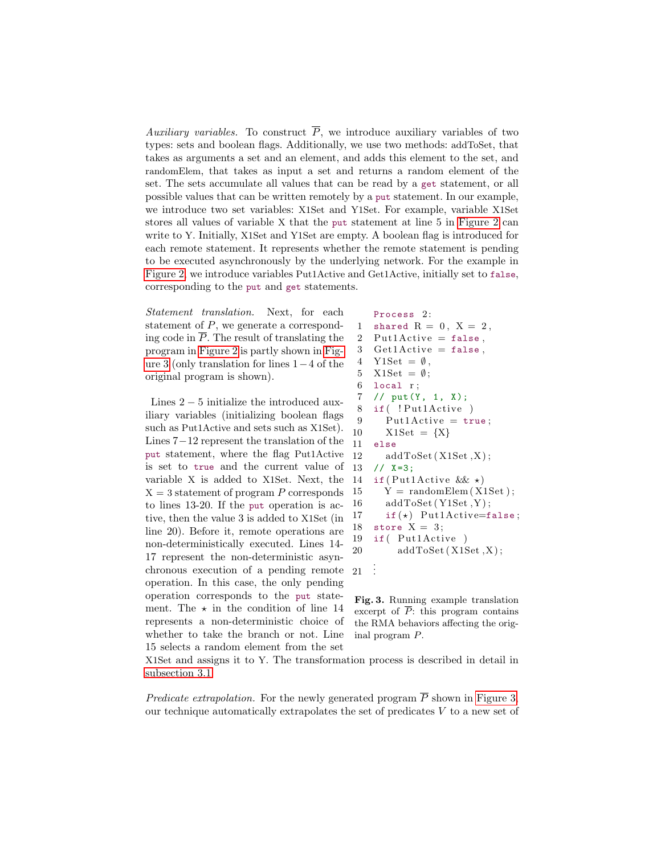Auxiliary variables. To construct  $\overline{P}$ , we introduce auxiliary variables of two types: sets and boolean flags. Additionally, we use two methods: addToSet, that takes as arguments a set and an element, and adds this element to the set, and randomElem, that takes as input a set and returns a random element of the set. The sets accumulate all values that can be read by a get statement, or all possible values that can be written remotely by a put statement. In our example, we introduce two set variables: X1Set and Y1Set. For example, variable X1Set stores all values of variable X that the put statement at line 5 in [Figure 2](#page-4-0) can write to Y. Initially, X1Set and Y1Set are empty. A boolean flag is introduced for each remote statement. It represents whether the remote statement is pending to be executed asynchronously by the underlying network. For the example in [Figure 2,](#page-4-0) we introduce variables Put1Active and Get1Active, initially set to false, corresponding to the put and get statements.

Statement translation. Next, for each statement of P, we generate a corresponding code in  $\overline{P}$ . The result of translating the program in [Figure 2](#page-4-0) is partly shown in [Fig](#page-7-0)[ure 3](#page-7-0) (only translation for lines 1−4 of the original program is shown).

Lines  $2 - 5$  initialize the introduced auxiliary variables (initializing boolean flags such as Put1Active and sets such as X1Set). Lines 7−12 represent the translation of the put statement, where the flag Put1Active is set to true and the current value of variable X is added to X1Set. Next, the  $X = 3$  statement of program P corresponds to lines 13-20. If the put operation is active, then the value 3 is added to X1Set (in line 20). Before it, remote operations are non-deterministically executed. Lines 14- 17 represent the non-deterministic asynchronous execution of a pending remote operation. In this case, the only pending operation corresponds to the put statement. The  $\star$  in the condition of line 14 represents a non-deterministic choice of whether to take the branch or not. Line 15 selects a random element from the set

Process 2: 1 shared  $R = 0, X = 2,$ 2 Put1Active  $=$  false,  $3$  Get1Active = false, 4 Y1Set  $=\emptyset$ , 5 X1Set =  $\emptyset$ ; 6 local r ; 7 // put(Y, 1, X); 8 if ( ! Put1Active ) 9 Put1Active  $=$  true;  $10$   $X1Set = \{X\}$ 11 else  $12 \qquad \text{addToSet}(\text{X1Set}, \text{X});$  $13 / / X = 3;$ 14 if (Put1Active &  $\star$ )  $15 \qquad Y = \text{randomElement}(X1\text{Set});$  $16 \qquad \text{addToSet}(\text{Y1Set}, \text{Y});$ 17 if  $(\star)$  Put1Active=false; 18 store  $X = 3$ ; 19 if ( Put1Active ) 20  $addToSet(X1Set, X);$ 21 . . .

<span id="page-7-0"></span>Fig. 3. Running example translation excerpt of  $\overline{P}$ : this program contains the RMA behaviors affecting the original program P.

X1Set and assigns it to Y. The transformation process is described in detail in [subsection 3.1.](#page-9-0)

*Predicate extrapolation.* For the newly generated program  $\overline{P}$  shown in [Figure 3,](#page-7-0) our technique automatically extrapolates the set of predicates  $V$  to a new set of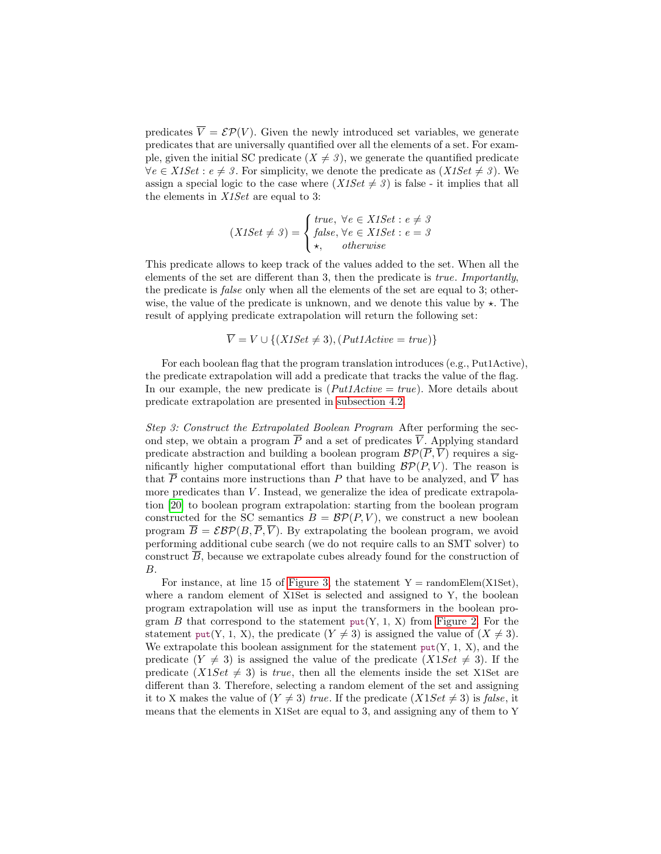predicates  $\overline{V} = \mathcal{E} \mathcal{P}(V)$ . Given the newly introduced set variables, we generate predicates that are universally quantified over all the elements of a set. For example, given the initial SC predicate  $(X \neq 3)$ , we generate the quantified predicate  $\forall e \in X1Set : e \neq 3$ . For simplicity, we denote the predicate as  $(X1Set \neq 3)$ . We assign a special logic to the case where  $(X1Set \neq 3)$  is false - it implies that all the elements in X1Set are equal to 3:

$$
(X1Set \neq 3) = \begin{cases} true, \forall e \in X1Set : e \neq 3 \\ false, \forall e \in X1Set : e = 3 \\ \star, \quad otherwise \end{cases}
$$

This predicate allows to keep track of the values added to the set. When all the elements of the set are different than 3, then the predicate is true. Importantly, the predicate is false only when all the elements of the set are equal to 3; otherwise, the value of the predicate is unknown, and we denote this value by  $\star$ . The result of applying predicate extrapolation will return the following set:

$$
\overline{V} = V \cup \{(X1Set \neq 3), (Put1Active = true)\}
$$

For each boolean flag that the program translation introduces (e.g., Put1Active), the predicate extrapolation will add a predicate that tracks the value of the flag. In our example, the new predicate is  $(Put1Active = true)$ . More details about predicate extrapolation are presented in [subsection 4.2.](#page-13-0)

Step 3: Construct the Extrapolated Boolean Program After performing the second step, we obtain a program  $\overline{P}$  and a set of predicates  $\overline{V}$ . Applying standard predicate abstraction and building a boolean program  $\mathcal{BP}(\overline{P}, \overline{V})$  requires a significantly higher computational effort than building  $\mathcal{BP}(P, V)$ . The reason is that  $\overline{P}$  contains more instructions than P that have to be analyzed, and  $\overline{V}$  has more predicates than V. Instead, we generalize the idea of predicate extrapolation [\[20\]](#page-21-4) to boolean program extrapolation: starting from the boolean program constructed for the SC semantics  $B = \mathcal{BP}(P, V)$ , we construct a new boolean program  $\overline{B} = \mathcal{EBP}(B, \overline{P}, \overline{V})$ . By extrapolating the boolean program, we avoid performing additional cube search (we do not require calls to an SMT solver) to construct B, because we extrapolate cubes already found for the construction of B.

For instance, at line 15 of [Figure 3,](#page-7-0) the statement  $Y = \text{randomElement}(X1Set)$ , where a random element of X1Set is selected and assigned to Y, the boolean program extrapolation will use as input the transformers in the boolean program  $B$  that correspond to the statement put(Y, 1, X) from [Figure 2.](#page-4-0) For the statement put(Y, 1, X), the predicate ( $Y \neq 3$ ) is assigned the value of  $(X \neq 3)$ . We extrapolate this boolean assignment for the statement  $put(Y, 1, X)$ , and the predicate  $(Y \neq 3)$  is assigned the value of the predicate  $(X1Set \neq 3)$ . If the predicate  $(X1Set \neq 3)$  is true, then all the elements inside the set X1Set are different than 3. Therefore, selecting a random element of the set and assigning it to X makes the value of  $(Y \neq 3)$  true. If the predicate  $(X1Set \neq 3)$  is false, it means that the elements in X1Set are equal to 3, and assigning any of them to Y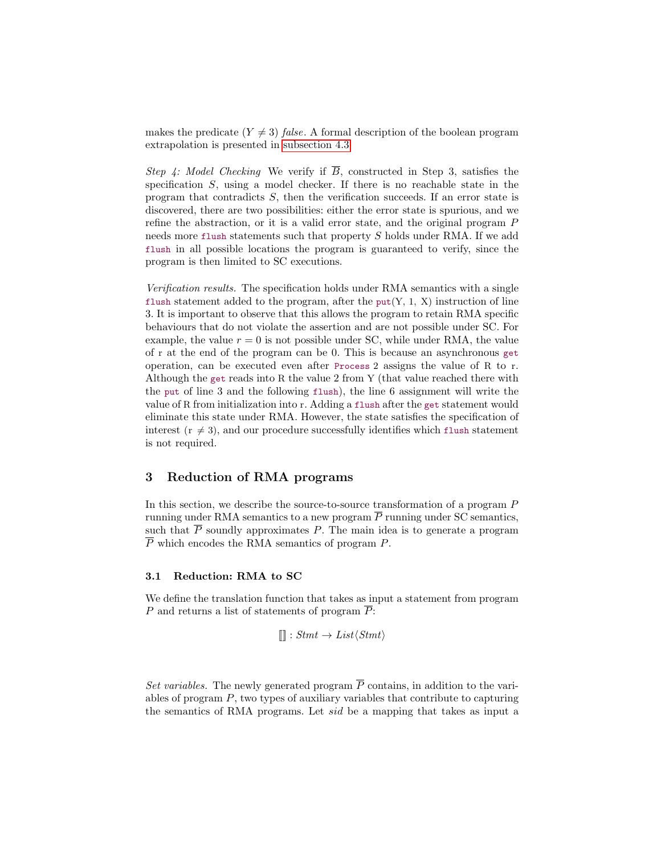makes the predicate  $(Y \neq 3)$  false. A formal description of the boolean program extrapolation is presented in [subsection 4.3.](#page-14-0)

Step 4: Model Checking We verify if  $\overline{B}$ , constructed in Step 3, satisfies the specification S, using a model checker. If there is no reachable state in the program that contradicts S, then the verification succeeds. If an error state is discovered, there are two possibilities: either the error state is spurious, and we refine the abstraction, or it is a valid error state, and the original program P needs more flush statements such that property S holds under RMA. If we add flush in all possible locations the program is guaranteed to verify, since the program is then limited to SC executions.

Verification results. The specification holds under RMA semantics with a single flush statement added to the program, after the  $put(Y, 1, X)$  instruction of line 3. It is important to observe that this allows the program to retain RMA specific behaviours that do not violate the assertion and are not possible under SC. For example, the value  $r = 0$  is not possible under SC, while under RMA, the value of r at the end of the program can be 0. This is because an asynchronous get operation, can be executed even after Process 2 assigns the value of R to r. Although the get reads into R the value 2 from Y (that value reached there with the put of line 3 and the following flush), the line 6 assignment will write the value of R from initialization into r. Adding a flush after the get statement would eliminate this state under RMA. However, the state satisfies the specification of interest  $(r \neq 3)$ , and our procedure successfully identifies which flush statement is not required.

# 3 Reduction of RMA programs

In this section, we describe the source-to-source transformation of a program P running under RMA semantics to a new program  $\overline{P}$  running under SC semantics, such that  $\overline{P}$  soundly approximates P. The main idea is to generate a program  $\overline{P}$  which encodes the RMA semantics of program P.

#### <span id="page-9-0"></span>3.1 Reduction: RMA to SC

We define the translation function that takes as input a statement from program P and returns a list of statements of program  $\overline{P}$ :

$$
[\n ]: Stmt \to List\langle Stmt \rangle
$$

Set variables. The newly generated program  $\overline{P}$  contains, in addition to the variables of program  $P$ , two types of auxiliary variables that contribute to capturing the semantics of RMA programs. Let sid be a mapping that takes as input a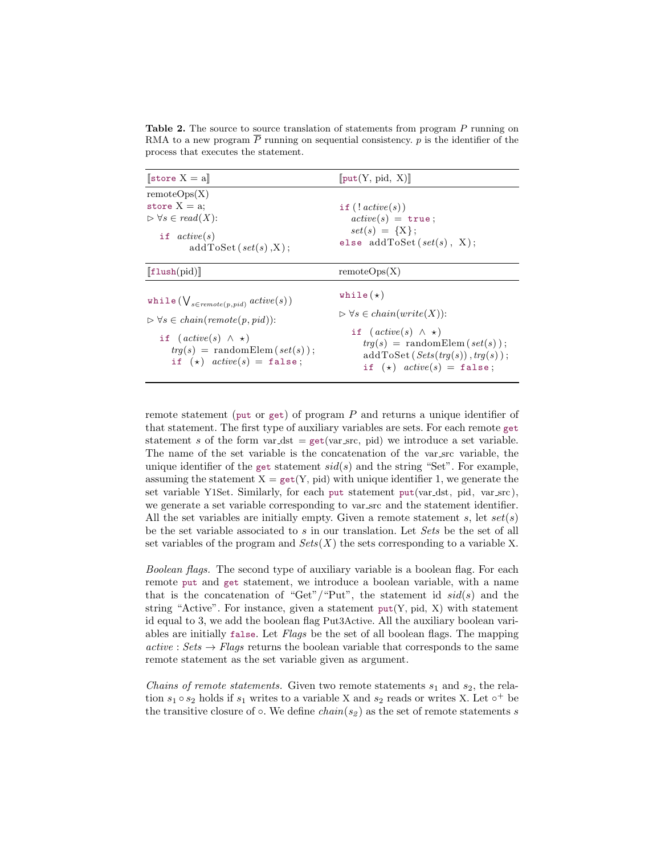<span id="page-10-0"></span>**Table 2.** The source to source translation of statements from program  $P$  running on RMA to a new program  $\overline{P}$  running on sequential consistency. p is the identifier of the process that executes the statement.

| store $X = a$                                                                                                                                                                                                                        | $\left[\text{put}(Y, \text{pid}, X)\right]$                                                                                                                                                                                         |
|--------------------------------------------------------------------------------------------------------------------------------------------------------------------------------------------------------------------------------------|-------------------------------------------------------------------------------------------------------------------------------------------------------------------------------------------------------------------------------------|
| remoteOps(X)<br>store $X = a$ ;<br>$\triangleright \forall s \in \text{read}(X)$ :<br>if $active(s)$<br>addToSet( <i>set(s)</i> , X);                                                                                                | if $(! \textit{active}(s))$<br>$active(s) = true;$<br>$set(s) = \{X\};$<br>else $addToSet(set(s), X);$                                                                                                                              |
| $\ $ flush $(\text{pid})\ $                                                                                                                                                                                                          | remoteOps(X)                                                                                                                                                                                                                        |
| while $(\bigvee_{s \in remote(p,pid)} active(s))$<br>$\triangleright \forall s \in chain(remote(p, pid))$ :<br>if $(\textit{active}(s) \wedge \star)$<br>$trq(s) = \text{randomElement}(set(s));$<br>if $(\star)$ active(s) = false; | while $(\star)$<br>$\triangleright \forall s \in chain(write(X))$ :<br>if $(\textit{active}(s) \wedge \star)$<br>$trq(s) = \text{randomElement}(set(s))$ ;<br>$addToSet(Sets(trq(s)), trq(s))$ ;<br>if $(\star)$ active(s) = false; |

remote statement (put or get) of program  $P$  and returns a unique identifier of that statement. The first type of auxiliary variables are sets. For each remote get statement s of the form var dst  $=$  get(var src, pid) we introduce a set variable. The name of the set variable is the concatenation of the var src variable, the unique identifier of the get statement  $sid(s)$  and the string "Set". For example, assuming the statement  $X = get(Y, pid)$  with unique identifier 1, we generate the set variable Y1Set. Similarly, for each put statement put(var\_dst, pid, var\_src), we generate a set variable corresponding to var src and the statement identifier. All the set variables are initially empty. Given a remote statement s, let  $set(s)$ be the set variable associated to s in our translation. Let Sets be the set of all set variables of the program and  $Sets(X)$  the sets corresponding to a variable X.

Boolean flags. The second type of auxiliary variable is a boolean flag. For each remote put and get statement, we introduce a boolean variable, with a name that is the concatenation of "Get"/"Put", the statement id  $sid(s)$  and the string "Active". For instance, given a statement  $put(Y, pid, X)$  with statement id equal to 3, we add the boolean flag Put3Active. All the auxiliary boolean variables are initially false. Let Flags be the set of all boolean flags. The mapping  $active : Sets \rightarrow Flags$  returns the boolean variable that corresponds to the same remote statement as the set variable given as argument.

Chains of remote statements. Given two remote statements  $s_1$  and  $s_2$ , the relation  $s_1 \circ s_2$  holds if  $s_1$  writes to a variable X and  $s_2$  reads or writes X. Let  $\circ^+$  be the transitive closure of ◦. We define  $chain(s_2)$  as the set of remote statements s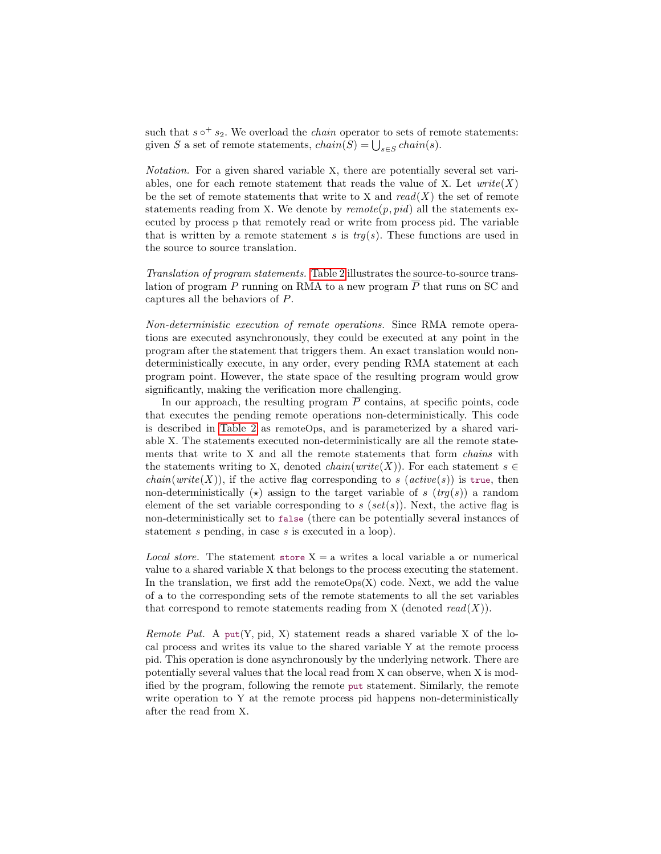such that  $s \circ^+ s_2$ . We overload the *chain* operator to sets of remote statements: given S a set of remote statements,  $chain(S) = \bigcup_{s \in S} chain(s)$ .

Notation. For a given shared variable X, there are potentially several set variables, one for each remote statement that reads the value of X. Let  $write(X)$ be the set of remote statements that write to X and  $read(X)$  the set of remote statements reading from X. We denote by  $remote(p, pid)$  all the statements executed by process p that remotely read or write from process pid. The variable that is written by a remote statement s is  $trg(s)$ . These functions are used in the source to source translation.

Translation of program statements. [Table 2](#page-10-0) illustrates the source-to-source translation of program P running on RMA to a new program  $\overline{P}$  that runs on SC and captures all the behaviors of P.

Non-deterministic execution of remote operations. Since RMA remote operations are executed asynchronously, they could be executed at any point in the program after the statement that triggers them. An exact translation would nondeterministically execute, in any order, every pending RMA statement at each program point. However, the state space of the resulting program would grow significantly, making the verification more challenging.

In our approach, the resulting program  $\overline{P}$  contains, at specific points, code that executes the pending remote operations non-deterministically. This code is described in [Table 2](#page-10-0) as remoteOps, and is parameterized by a shared variable X. The statements executed non-deterministically are all the remote statements that write to X and all the remote statements that form chains with the statements writing to X, denoted *chain(write(X))*. For each statement  $s \in$  $chain(write(X)),$  if the active flag corresponding to s  $(active(s))$  is true, then non-deterministically ( $\star$ ) assign to the target variable of s (trg(s)) a random element of the set variable corresponding to s (set(s)). Next, the active flag is non-deterministically set to false (there can be potentially several instances of statement s pending, in case s is executed in a loop).

*Local store.* The statement store  $X = a$  writes a local variable a or numerical value to a shared variable X that belongs to the process executing the statement. In the translation, we first add the remote  $\text{Ops}(X)$  code. Next, we add the value of a to the corresponding sets of the remote statements to all the set variables that correspond to remote statements reading from X (denoted  $read(X)$ ).

Remote Put. A put  $(Y, \text{pid}, X)$  statement reads a shared variable X of the local process and writes its value to the shared variable Y at the remote process pid. This operation is done asynchronously by the underlying network. There are potentially several values that the local read from X can observe, when X is modified by the program, following the remote put statement. Similarly, the remote write operation to Y at the remote process pid happens non-deterministically after the read from X.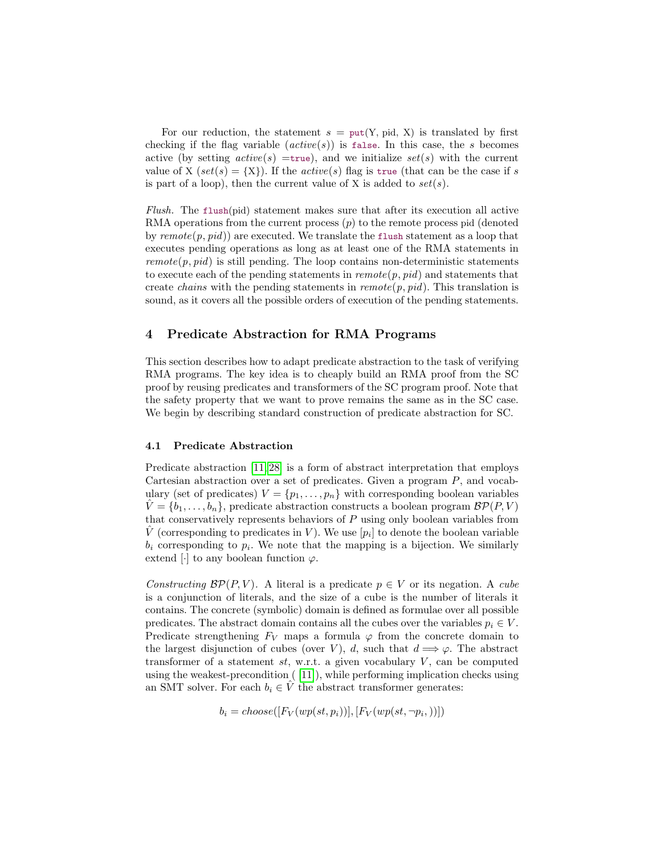For our reduction, the statement  $s = \text{put}(Y, \text{pid}, X)$  is translated by first checking if the flag variable  $(\textit{active}(s))$  is false. In this case, the s becomes active (by setting  $active(s) = true$ ), and we initialize  $set(s)$  with the current value of X (set(s) = {X}). If the active(s) flag is true (that can be the case if s is part of a loop), then the current value of X is added to  $set(s)$ .

Flush. The flush(pid) statement makes sure that after its execution all active RMA operations from the current process  $(p)$  to the remote process pid (denoted by  $remote(p, pid)$  are executed. We translate the flush statement as a loop that executes pending operations as long as at least one of the RMA statements in  $remote(p, pid)$  is still pending. The loop contains non-deterministic statements to execute each of the pending statements in  $remote(p, pid)$  and statements that create *chains* with the pending statements in  $remote(p, pid)$ . This translation is sound, as it covers all the possible orders of execution of the pending statements.

## 4 Predicate Abstraction for RMA Programs

This section describes how to adapt predicate abstraction to the task of verifying RMA programs. The key idea is to cheaply build an RMA proof from the SC proof by reusing predicates and transformers of the SC program proof. Note that the safety property that we want to prove remains the same as in the SC case. We begin by describing standard construction of predicate abstraction for SC.

#### <span id="page-12-0"></span>4.1 Predicate Abstraction

Predicate abstraction [\[11,](#page-20-3) [28\]](#page-22-3) is a form of abstract interpretation that employs Cartesian abstraction over a set of predicates. Given a program P, and vocabulary (set of predicates)  $V = \{p_1, \ldots, p_n\}$  with corresponding boolean variables  $V = \{b_1, \ldots, b_n\}$ , predicate abstraction constructs a boolean program  $\mathcal{BP}(P, V)$ that conservatively represents behaviors of  $P$  using only boolean variables from  $\hat{V}$  (corresponding to predicates in V). We use  $[p_i]$  to denote the boolean variable  $b_i$  corresponding to  $p_i$ . We note that the mapping is a bijection. We similarly extend [·] to any boolean function  $\varphi$ .

Constructing  $\mathcal{BP}(P, V)$ . A literal is a predicate  $p \in V$  or its negation. A cube is a conjunction of literals, and the size of a cube is the number of literals it contains. The concrete (symbolic) domain is defined as formulae over all possible predicates. The abstract domain contains all the cubes over the variables  $p_i \in V$ . Predicate strengthening  $F_V$  maps a formula  $\varphi$  from the concrete domain to the largest disjunction of cubes (over V), d, such that  $d \Longrightarrow \varphi$ . The abstract transformer of a statement  $st$ , w.r.t. a given vocabulary  $V$ , can be computed using the weakest-precondition ( [\[11\]](#page-20-3)), while performing implication checks using an SMT solver. For each  $b_i \in \hat{V}$  the abstract transformer generates:

 $b_i = choose([F_V(wp(st, p_i))], [F_V(wp(st, \neg p_i,))]$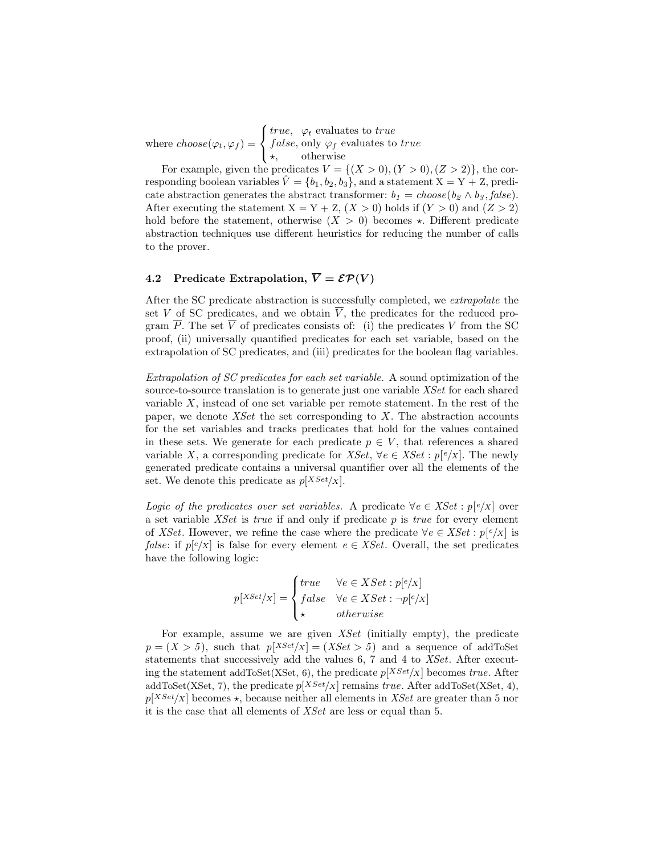where  $choose(\varphi_t, \varphi_f) =$  $\sqrt{ }$ J  $\mathcal{L}$ *true*,  $\varphi_t$  evaluates to *true false*, only  $\varphi_f$  evaluates to *true*  $\star$ , otherwise

For example, given the predicates  $V = \{(X > 0), (Y > 0), (Z > 2)\}\)$ , the corresponding boolean variables  $V = \{b_1, b_2, b_3\}$ , and a statement  $X = Y + Z$ , predicate abstraction generates the abstract transformer:  $b_1 = choose(b_2 \wedge b_3, false)$ . After executing the statement  $X = Y + Z$ ,  $(X > 0)$  holds if  $(Y > 0)$  and  $(Z > 2)$ hold before the statement, otherwise  $(X > 0)$  becomes  $\star$ . Different predicate abstraction techniques use different heuristics for reducing the number of calls to the prover.

# <span id="page-13-0"></span>4.2 Predicate Extrapolation,  $\overline{V} = \mathcal{E} \mathcal{P}(V)$

After the SC predicate abstraction is successfully completed, we extrapolate the set V of SC predicates, and we obtain  $\overline{V}$ , the predicates for the reduced program  $\overline{P}$ . The set  $\overline{V}$  of predicates consists of: (i) the predicates V from the SC proof, (ii) universally quantified predicates for each set variable, based on the extrapolation of SC predicates, and (iii) predicates for the boolean flag variables.

Extrapolation of SC predicates for each set variable. A sound optimization of the source-to-source translation is to generate just one variable XSet for each shared variable  $X$ , instead of one set variable per remote statement. In the rest of the paper, we denote  $XSet$  the set corresponding to X. The abstraction accounts for the set variables and tracks predicates that hold for the values contained in these sets. We generate for each predicate  $p \in V$ , that references a shared variable X, a corresponding predicate for  $XSet, \forall e \in XSet : p[e/X]$ . The newly generated predicate contains a universal quantifier over all the elements of the set. We denote this predicate as  $p[XSet]/X$ .

Logic of the predicates over set variables. A predicate  $\forall e \in XSet : p[e/X]$  over a set variable XSet is true if and only if predicate  $p$  is true for every element of XSet. However, we refine the case where the predicate  $\forall e \in XSet : p[e/X]$  is *false*: if  $p[e/X]$  is false for every element  $e \in XSet$ . Overall, the set predicates have the following logic:

$$
p[XSet/X] = \begin{cases} true & \forall e \in XSet : p[e/X] \\ false & \forall e \in XSet : \neg p[e/X] \\ \star & otherwise \end{cases}
$$

For example, assume we are given  $XSet$  (initially empty), the predicate  $p = (X > 5)$ , such that  $p[XSet]/X = (XSet > 5)$  and a sequence of addToSet statements that successively add the values 6, 7 and 4 to *XSet*. After executing the statement addToSet(XSet, 6), the predicate  $p[XSet/X]$  becomes true. After addToSet(XSet, 7), the predicate  $p[XSet/X]$  remains true. After addToSet(XSet, 4),  $p[XSet/X]$  becomes  $\star$ , because neither all elements in XSet are greater than 5 nor it is the case that all elements of XSet are less or equal than 5.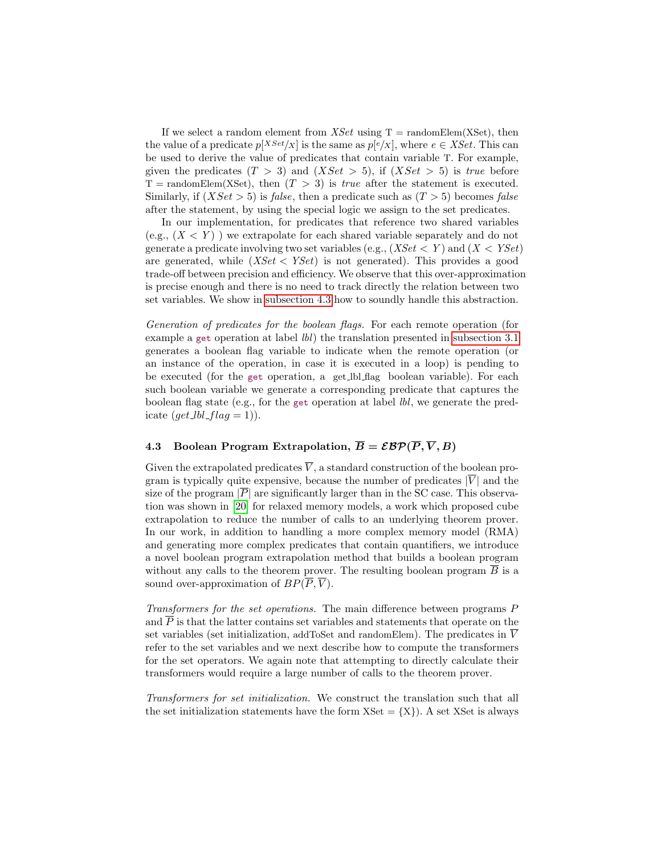If we select a random element from  $XSet$  using T = randomElem(XSet), then the value of a predicate  $p[XSet/X]$  is the same as  $p[e/X]$ , where  $e \in XSet$ . This can be used to derive the value of predicates that contain variable T. For example, given the predicates  $(T > 3)$  and  $(XSet > 5)$ , if  $(XSet > 5)$  is true before  $T = \text{randomElement}(XSet), \text{ then } (T > 3) \text{ is true after the statement is executed.}$ Similarly, if  $(XSet > 5)$  is *false*, then a predicate such as  $(T > 5)$  becomes *false* after the statement, by using the special logic we assign to the set predicates.

In our implementation, for predicates that reference two shared variables (e.g.,  $(X \le Y)$ ) we extrapolate for each shared variable separately and do not generate a predicate involving two set variables (e.g.,  $(XSet \le Y)$ ) and  $(X \le YSet)$ are generated, while  $(XSet \leq YSet)$  is not generated). This provides a good trade-off between precision and efficiency. We observe that this over-approximation is precise enough and there is no need to track directly the relation between two set variables. We show in [subsection 4.3](#page-14-0) how to soundly handle this abstraction.

Generation of predicates for the boolean flags. For each remote operation (for example a get operation at label *lbl*) the translation presented in [subsection 3.1](#page-9-0) generates a boolean flag variable to indicate when the remote operation (or an instance of the operation, in case it is executed in a loop) is pending to be executed (for the get operation, a get Ibl flag boolean variable). For each such boolean variable we generate a corresponding predicate that captures the boolean flag state (e.g., for the get operation at label *lbl*, we generate the predicate  $(get\_lbl\_flag = 1)$ .

# <span id="page-14-0"></span>4.3 Boolean Program Extrapolation,  $\overline{B} = \mathcal{EBP}(\overline{P}, \overline{V}, B)$

Given the extrapolated predicates  $\overline{V}$ , a standard construction of the boolean program is typically quite expensive, because the number of predicates  $|\overline{V}|$  and the size of the program  $|\overline{P}|$  are significantly larger than in the SC case. This observation was shown in [\[20\]](#page-21-4) for relaxed memory models, a work which proposed cube extrapolation to reduce the number of calls to an underlying theorem prover. In our work, in addition to handling a more complex memory model (RMA) and generating more complex predicates that contain quantifiers, we introduce a novel boolean program extrapolation method that builds a boolean program without any calls to the theorem prover. The resulting boolean program  $\overline{B}$  is a sound over-approximation of  $BP(\overline{P}, \overline{V})$ .

Transformers for the set operations. The main difference between programs P and  $\overline{P}$  is that the latter contains set variables and statements that operate on the set variables (set initialization, addToSet and randomElem). The predicates in  $\overline{V}$ refer to the set variables and we next describe how to compute the transformers for the set operators. We again note that attempting to directly calculate their transformers would require a large number of calls to the theorem prover.

Transformers for set initialization. We construct the translation such that all the set initialization statements have the form  $XSet = \{X\}$ . A set XSet is always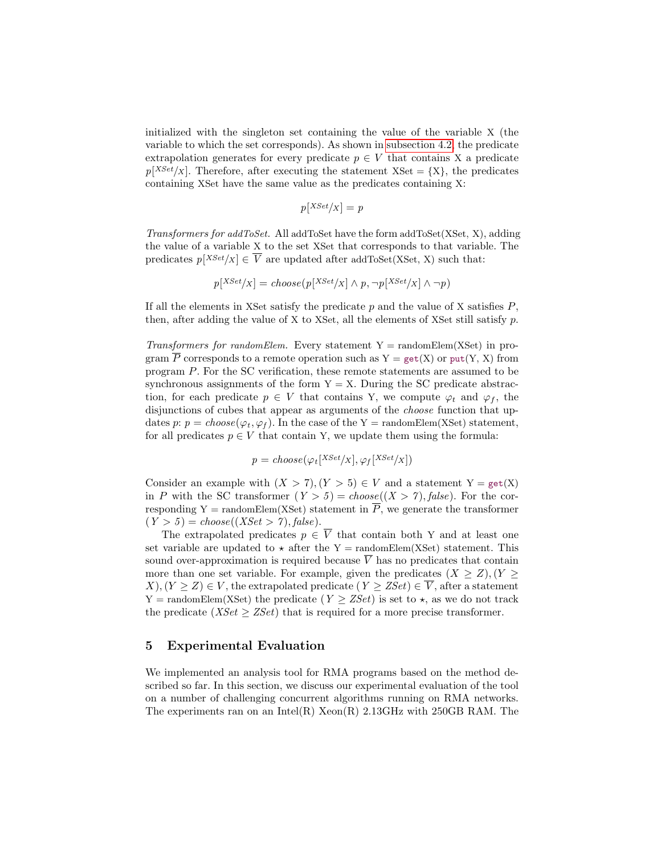initialized with the singleton set containing the value of the variable X (the variable to which the set corresponds). As shown in [subsection 4.2,](#page-13-0) the predicate extrapolation generates for every predicate  $p \in V$  that contains X a predicate  $p[XSet/X]$ . Therefore, after executing the statement XSet = {X}, the predicates containing XSet have the same value as the predicates containing X:

$$
p[
$$

Transformers for addToSet. All addToSet have the form addToSet(XSet, X), adding the value of a variable X to the set XSet that corresponds to that variable. The predicates  $p[XSet/X] \in \overline{V}$  are updated after addToSet(XSet, X) such that:

$$
p[XSet/X] = choose(p[XSet/X] \land p, \neg p[XSet/X] \land \neg p)
$$

If all the elements in XSet satisfy the predicate  $p$  and the value of X satisfies  $P$ , then, after adding the value of  $X$  to XSet, all the elements of XSet still satisfy  $p$ .

Transformers for randomElem. Every statement  $Y = \text{randomElement}(XSet)$  in program  $\overline{P}$  corresponds to a remote operation such as  $Y = get(X)$  or put(Y, X) from program P. For the SC verification, these remote statements are assumed to be synchronous assignments of the form  $Y = X$ . During the SC predicate abstraction, for each predicate  $p \in V$  that contains Y, we compute  $\varphi_t$  and  $\varphi_f$ , the disjunctions of cubes that appear as arguments of the choose function that updates  $p: p = choose(\varphi_t, \varphi_f)$ . In the case of the Y = randomElem(XSet) statement, for all predicates  $p \in V$  that contain Y, we update them using the formula:

$$
p = choose(\varphi_t[Xset/X], \varphi_f[Xset/X])
$$

Consider an example with  $(X > 7), (Y > 5) \in V$  and a statement Y = get(X) in P with the SC transformer  $(Y > 5) = choose((X > 7), false)$ . For the corresponding Y = randomElem(XSet) statement in  $\overline{P}$ , we generate the transformer  $(Y > 5) = choose((XSet > 7), false).$ 

The extrapolated predicates  $p \in \overline{V}$  that contain both Y and at least one set variable are updated to  $\star$  after the Y = randomElem(XSet) statement. This sound over-approximation is required because  $\overline{V}$  has no predicates that contain more than one set variable. For example, given the predicates  $(X \geq Z), (Y \geq Z)$  $(X), (Y \geq Z) \in V$ , the extrapolated predicate  $(Y \geq ZSet) \in \overline{V}$ , after a statement Y = randomElem(XSet) the predicate ( $Y \geq ZSet$ ) is set to  $\star$ , as we do not track the predicate  $(XSet \geq ZSet)$  that is required for a more precise transformer.

## 5 Experimental Evaluation

We implemented an analysis tool for RMA programs based on the method described so far. In this section, we discuss our experimental evaluation of the tool on a number of challenging concurrent algorithms running on RMA networks. The experiments ran on an Intel(R) Xeon(R)  $2.13\text{GHz}$  with  $250\text{GB RAM}$ . The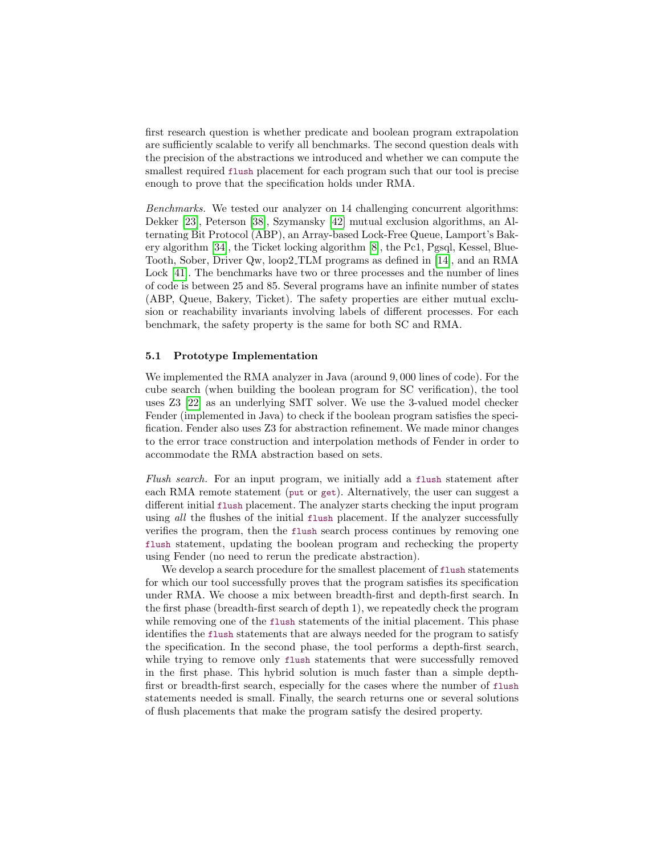first research question is whether predicate and boolean program extrapolation are sufficiently scalable to verify all benchmarks. The second question deals with the precision of the abstractions we introduced and whether we can compute the smallest required flush placement for each program such that our tool is precise enough to prove that the specification holds under RMA.

Benchmarks. We tested our analyzer on 14 challenging concurrent algorithms: Dekker [\[23\]](#page-22-6), Peterson [\[38\]](#page-23-3), Szymansky [\[42\]](#page-23-4) mutual exclusion algorithms, an Alternating Bit Protocol (ABP), an Array-based Lock-Free Queue, Lamport's Bakery algorithm [\[34\]](#page-22-7), the Ticket locking algorithm [\[8\]](#page-20-4), the Pc1, Pgsql, Kessel, Blue-Tooth, Sober, Driver Qw, loop2 TLM programs as defined in [\[14\]](#page-21-6), and an RMA Lock [\[41\]](#page-23-5). The benchmarks have two or three processes and the number of lines of code is between 25 and 85. Several programs have an infinite number of states (ABP, Queue, Bakery, Ticket). The safety properties are either mutual exclusion or reachability invariants involving labels of different processes. For each benchmark, the safety property is the same for both SC and RMA.

### 5.1 Prototype Implementation

We implemented the RMA analyzer in Java (around 9, 000 lines of code). For the cube search (when building the boolean program for SC verification), the tool uses Z3 [\[22\]](#page-22-8) as an underlying SMT solver. We use the 3-valued model checker Fender (implemented in Java) to check if the boolean program satisfies the specification. Fender also uses Z3 for abstraction refinement. We made minor changes to the error trace construction and interpolation methods of Fender in order to accommodate the RMA abstraction based on sets.

Flush search. For an input program, we initially add a flush statement after each RMA remote statement (put or get). Alternatively, the user can suggest a different initial flush placement. The analyzer starts checking the input program using all the flushes of the initial flush placement. If the analyzer successfully verifies the program, then the flush search process continues by removing one flush statement, updating the boolean program and rechecking the property using Fender (no need to rerun the predicate abstraction).

We develop a search procedure for the smallest placement of flush statements for which our tool successfully proves that the program satisfies its specification under RMA. We choose a mix between breadth-first and depth-first search. In the first phase (breadth-first search of depth 1), we repeatedly check the program while removing one of the flush statements of the initial placement. This phase identifies the flush statements that are always needed for the program to satisfy the specification. In the second phase, the tool performs a depth-first search, while trying to remove only flush statements that were successfully removed in the first phase. This hybrid solution is much faster than a simple depthfirst or breadth-first search, especially for the cases where the number of flush statements needed is small. Finally, the search returns one or several solutions of flush placements that make the program satisfy the desired property.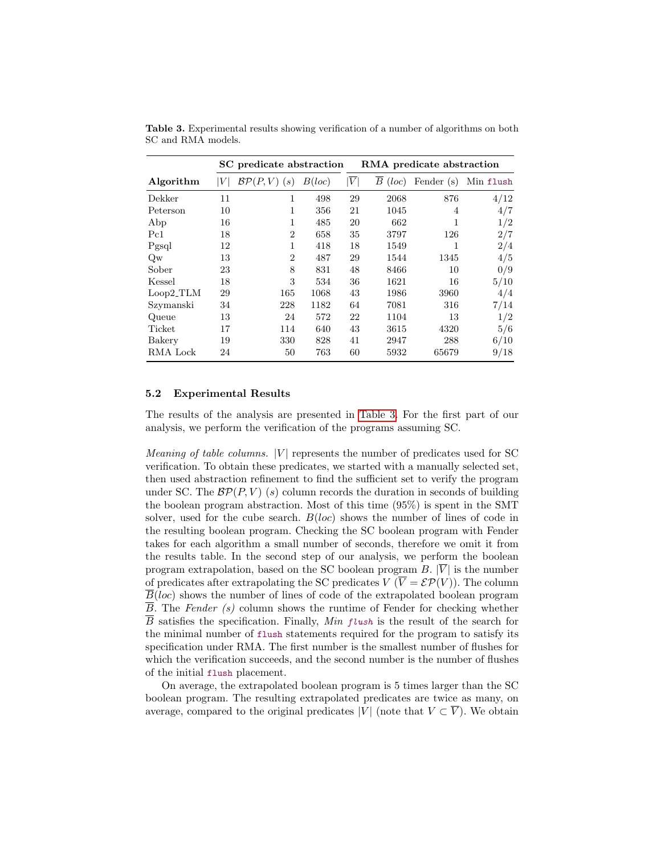|              | SC predicate abstraction |                                        |        |    | RMA predicate abstraction |            |           |  |
|--------------|--------------------------|----------------------------------------|--------|----|---------------------------|------------|-----------|--|
| Algorithm    | V                        | $B\mathcal{P}(P,$<br>$\left( s\right)$ | B(loc) | V  | В<br>(loc)                | Fender (s) | Min flush |  |
| Dekker       | 11                       | 1                                      | 498    | 29 | 2068                      | 876        | 4/12      |  |
| Peterson     | 10                       | 1                                      | 356    | 21 | 1045                      | 4          | 4/7       |  |
| Abp          | 16                       | 1                                      | 485    | 20 | 662                       | 1          | 1/2       |  |
| Pc1          | 18                       | $\overline{2}$                         | 658    | 35 | 3797                      | 126        | 2/7       |  |
| Pgsql        | 12                       | 1                                      | 418    | 18 | 1549                      | 1          | 2/4       |  |
| $Q_{W}$      | 13                       | $\overline{2}$                         | 487    | 29 | 1544                      | 1345       | 4/5       |  |
| Sober        | 23                       | 8                                      | 831    | 48 | 8466                      | 10         | 0/9       |  |
| Kessel       | 18                       | 3                                      | 534    | 36 | 1621                      | 16         | 5/10      |  |
| $Loop 2_TLM$ | 29                       | 165                                    | 1068   | 43 | 1986                      | 3960       | 4/4       |  |
| Szymanski    | 34                       | 228                                    | 1182   | 64 | 7081                      | 316        | 7/14      |  |
| Queue        | 13                       | 24                                     | 572    | 22 | 1104                      | 13         | 1/2       |  |
| Ticket       | 17                       | 114                                    | 640    | 43 | 3615                      | 4320       | 5/6       |  |
| Bakery       | 19                       | 330                                    | 828    | 41 | 2947                      | 288        | 6/10      |  |
| RMA Lock     | 24                       | 50                                     | 763    | 60 | 5932                      | 65679      | 9/18      |  |

<span id="page-17-0"></span>Table 3. Experimental results showing verification of a number of algorithms on both SC and RMA models.

#### 5.2 Experimental Results

The results of the analysis are presented in [Table 3.](#page-17-0) For the first part of our analysis, we perform the verification of the programs assuming SC.

*Meaning of table columns.*  $|V|$  represents the number of predicates used for SC verification. To obtain these predicates, we started with a manually selected set, then used abstraction refinement to find the sufficient set to verify the program under SC. The  $\mathcal{BP}(P, V)$  (s) column records the duration in seconds of building the boolean program abstraction. Most of this time (95%) is spent in the SMT solver, used for the cube search.  $B(loc)$  shows the number of lines of code in the resulting boolean program. Checking the SC boolean program with Fender takes for each algorithm a small number of seconds, therefore we omit it from the results table. In the second step of our analysis, we perform the boolean program extrapolation, based on the SC boolean program B.  $|\overline{V}|$  is the number of predicates after extrapolating the SC predicates  $V(\overline{V} = \mathcal{E} \mathcal{P}(V))$ . The column  $\overline{B}(loc)$  shows the number of lines of code of the extrapolated boolean program  $\overline{B}$ . The Fender (s) column shows the runtime of Fender for checking whether  $\overline{B}$  satisfies the specification. Finally, Min flush is the result of the search for the minimal number of flush statements required for the program to satisfy its specification under RMA. The first number is the smallest number of flushes for which the verification succeeds, and the second number is the number of flushes of the initial flush placement.

On average, the extrapolated boolean program is 5 times larger than the SC boolean program. The resulting extrapolated predicates are twice as many, on average, compared to the original predicates |V| (note that  $V \subset \overline{V}$ ). We obtain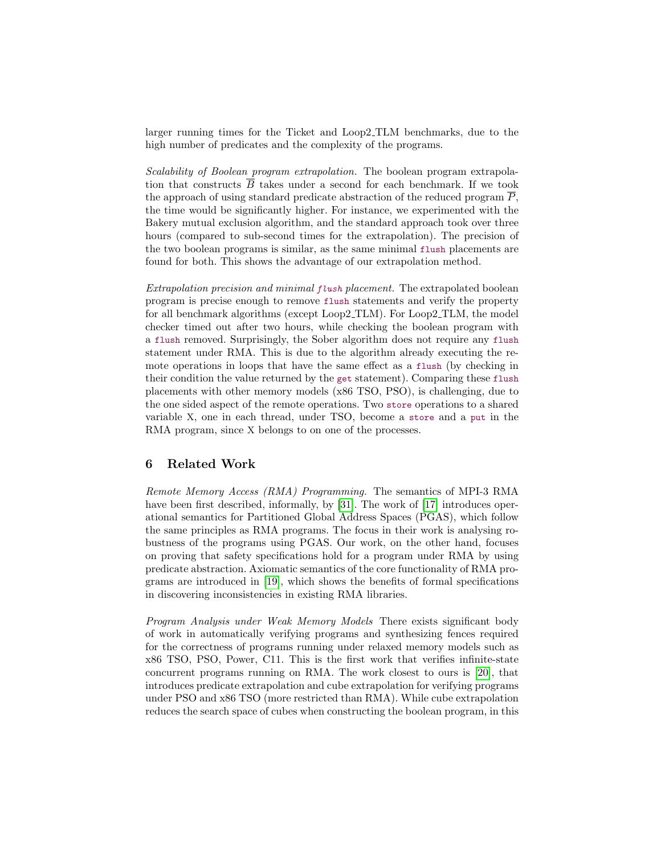larger running times for the Ticket and Loop2 TLM benchmarks, due to the high number of predicates and the complexity of the programs.

Scalability of Boolean program extrapolation. The boolean program extrapolation that constructs  $\overline{B}$  takes under a second for each benchmark. If we took the approach of using standard predicate abstraction of the reduced program  $\overline{P}$ , the time would be significantly higher. For instance, we experimented with the Bakery mutual exclusion algorithm, and the standard approach took over three hours (compared to sub-second times for the extrapolation). The precision of the two boolean programs is similar, as the same minimal flush placements are found for both. This shows the advantage of our extrapolation method.

Extrapolation precision and minimal flush placement. The extrapolated boolean program is precise enough to remove flush statements and verify the property for all benchmark algorithms (except Loop2 TLM). For Loop2 TLM, the model checker timed out after two hours, while checking the boolean program with a flush removed. Surprisingly, the Sober algorithm does not require any flush statement under RMA. This is due to the algorithm already executing the remote operations in loops that have the same effect as a flush (by checking in their condition the value returned by the get statement). Comparing these flush placements with other memory models (x86 TSO, PSO), is challenging, due to the one sided aspect of the remote operations. Two store operations to a shared variable X, one in each thread, under TSO, become a store and a put in the RMA program, since X belongs to on one of the processes.

# 6 Related Work

Remote Memory Access (RMA) Programming. The semantics of MPI-3 RMA have been first described, informally, by [\[31\]](#page-22-9). The work of [\[17\]](#page-21-5) introduces operational semantics for Partitioned Global Address Spaces (PGAS), which follow the same principles as RMA programs. The focus in their work is analysing robustness of the programs using PGAS. Our work, on the other hand, focuses on proving that safety specifications hold for a program under RMA by using predicate abstraction. Axiomatic semantics of the core functionality of RMA programs are introduced in [\[19\]](#page-21-3), which shows the benefits of formal specifications in discovering inconsistencies in existing RMA libraries.

Program Analysis under Weak Memory Models There exists significant body of work in automatically verifying programs and synthesizing fences required for the correctness of programs running under relaxed memory models such as x86 TSO, PSO, Power, C11. This is the first work that verifies infinite-state concurrent programs running on RMA. The work closest to ours is [\[20\]](#page-21-4), that introduces predicate extrapolation and cube extrapolation for verifying programs under PSO and x86 TSO (more restricted than RMA). While cube extrapolation reduces the search space of cubes when constructing the boolean program, in this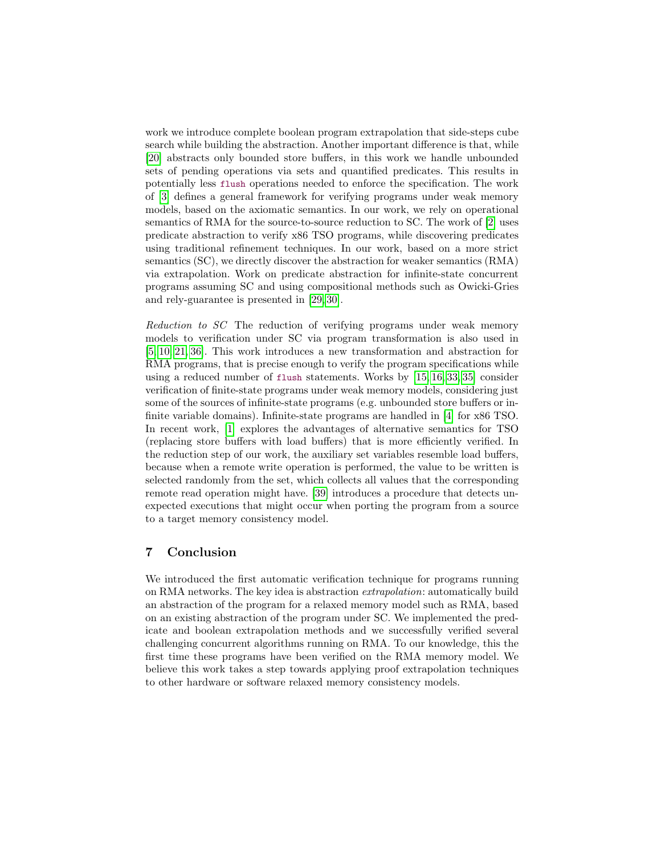work we introduce complete boolean program extrapolation that side-steps cube search while building the abstraction. Another important difference is that, while [\[20\]](#page-21-4) abstracts only bounded store buffers, in this work we handle unbounded sets of pending operations via sets and quantified predicates. This results in potentially less flush operations needed to enforce the specification. The work of [\[3\]](#page-20-5) defines a general framework for verifying programs under weak memory models, based on the axiomatic semantics. In our work, we rely on operational semantics of RMA for the source-to-source reduction to SC. The work of [\[2\]](#page-20-6) uses predicate abstraction to verify x86 TSO programs, while discovering predicates using traditional refinement techniques. In our work, based on a more strict semantics (SC), we directly discover the abstraction for weaker semantics (RMA) via extrapolation. Work on predicate abstraction for infinite-state concurrent programs assuming SC and using compositional methods such as Owicki-Gries and rely-guarantee is presented in [\[29,](#page-22-10) [30\]](#page-22-5).

Reduction to SC The reduction of verifying programs under weak memory models to verification under SC via program transformation is also used in [\[5,](#page-20-7) [10,](#page-20-8) [21,](#page-21-7) [36\]](#page-23-6). This work introduces a new transformation and abstraction for RMA programs, that is precise enough to verify the program specifications while using a reduced number of flush statements. Works by [\[15,](#page-21-8) [16,](#page-21-9) [33,](#page-22-11) [35\]](#page-23-7) consider verification of finite-state programs under weak memory models, considering just some of the sources of infinite-state programs (e.g. unbounded store buffers or infinite variable domains). Infinite-state programs are handled in [\[4\]](#page-20-9) for x86 TSO. In recent work, [\[1\]](#page-20-10) explores the advantages of alternative semantics for TSO (replacing store buffers with load buffers) that is more efficiently verified. In the reduction step of our work, the auxiliary set variables resemble load buffers, because when a remote write operation is performed, the value to be written is selected randomly from the set, which collects all values that the corresponding remote read operation might have. [\[39\]](#page-23-8) introduces a procedure that detects unexpected executions that might occur when porting the program from a source to a target memory consistency model.

# 7 Conclusion

We introduced the first automatic verification technique for programs running on RMA networks. The key idea is abstraction extrapolation: automatically build an abstraction of the program for a relaxed memory model such as RMA, based on an existing abstraction of the program under SC. We implemented the predicate and boolean extrapolation methods and we successfully verified several challenging concurrent algorithms running on RMA. To our knowledge, this the first time these programs have been verified on the RMA memory model. We believe this work takes a step towards applying proof extrapolation techniques to other hardware or software relaxed memory consistency models.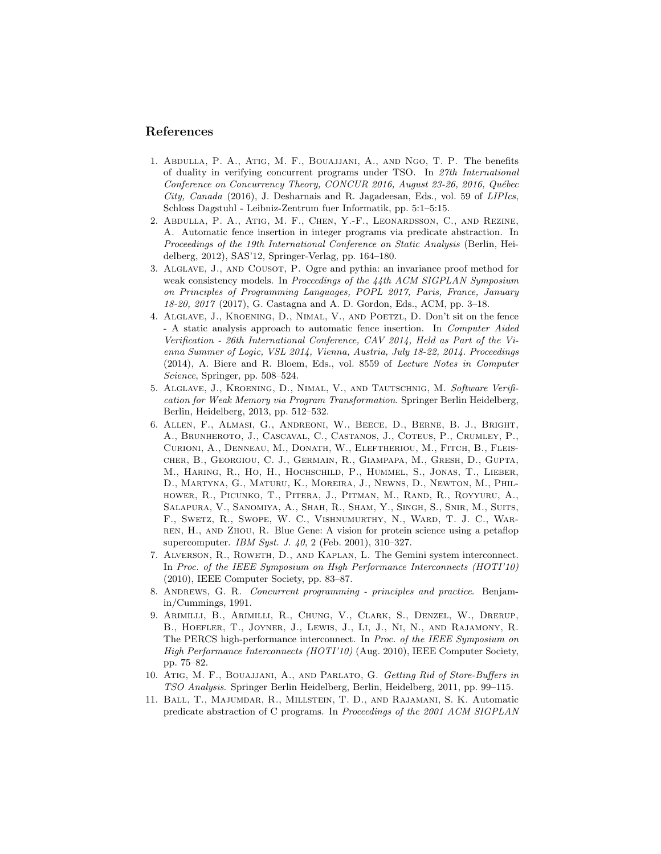## References

- <span id="page-20-10"></span>1. Abdulla, P. A., Atig, M. F., Bouajjani, A., and Ngo, T. P. The benefits of duality in verifying concurrent programs under TSO. In 27th International Conference on Concurrency Theory, CONCUR 2016, August 23-26, 2016, Québec City, Canada (2016), J. Desharnais and R. Jagadeesan, Eds., vol. 59 of LIPIcs, Schloss Dagstuhl - Leibniz-Zentrum fuer Informatik, pp. 5:1–5:15.
- <span id="page-20-6"></span>2. Abdulla, P. A., Atig, M. F., Chen, Y.-F., Leonardsson, C., and Rezine, A. Automatic fence insertion in integer programs via predicate abstraction. In Proceedings of the 19th International Conference on Static Analysis (Berlin, Heidelberg, 2012), SAS'12, Springer-Verlag, pp. 164–180.
- <span id="page-20-5"></span>3. Alglave, J., and Cousot, P. Ogre and pythia: an invariance proof method for weak consistency models. In Proceedings of the 44th ACM SIGPLAN Symposium on Principles of Programming Languages, POPL 2017, Paris, France, January 18-20, 2017 (2017), G. Castagna and A. D. Gordon, Eds., ACM, pp. 3–18.
- <span id="page-20-9"></span>4. Alglave, J., Kroening, D., Nimal, V., and Poetzl, D. Don't sit on the fence - A static analysis approach to automatic fence insertion. In Computer Aided Verification - 26th International Conference, CAV 2014, Held as Part of the Vienna Summer of Logic, VSL 2014, Vienna, Austria, July 18-22, 2014. Proceedings (2014), A. Biere and R. Bloem, Eds., vol. 8559 of Lecture Notes in Computer Science, Springer, pp. 508–524.
- <span id="page-20-7"></span>5. ALGLAVE, J., KROENING, D., NIMAL, V., AND TAUTSCHNIG, M. Software Verification for Weak Memory via Program Transformation. Springer Berlin Heidelberg, Berlin, Heidelberg, 2013, pp. 512–532.
- <span id="page-20-0"></span>6. Allen, F., Almasi, G., Andreoni, W., Beece, D., Berne, B. J., Bright, A., Brunheroto, J., Cascaval, C., Castanos, J., Coteus, P., Crumley, P., Curioni, A., Denneau, M., Donath, W., Eleftheriou, M., Fitch, B., Fleischer, B., Georgiou, C. J., Germain, R., Giampapa, M., Gresh, D., Gupta, M., Haring, R., Ho, H., Hochschild, P., Hummel, S., Jonas, T., Lieber, D., Martyna, G., Maturu, K., Moreira, J., Newns, D., Newton, M., Philhower, R., Picunko, T., Pitera, J., Pitman, M., Rand, R., Royyuru, A., Salapura, V., Sanomiya, A., Shah, R., Sham, Y., Singh, S., Snir, M., Suits, F., Swetz, R., Swope, W. C., Vishnumurthy, N., Ward, T. J. C., Warren, H., and Zhou, R. Blue Gene: A vision for protein science using a petaflop supercomputer. IBM Syst. J. 40, 2 (Feb. 2001), 310–327.
- <span id="page-20-2"></span>7. Alverson, R., Roweth, D., and Kaplan, L. The Gemini system interconnect. In Proc. of the IEEE Symposium on High Performance Interconnects (HOTI'10) (2010), IEEE Computer Society, pp. 83–87.
- <span id="page-20-4"></span>8. Andrews, G. R. Concurrent programming - principles and practice. Benjamin/Cummings, 1991.
- <span id="page-20-1"></span>9. Arimilli, B., Arimilli, R., Chung, V., Clark, S., Denzel, W., Drerup, B., Hoefler, T., Joyner, J., Lewis, J., Li, J., Ni, N., and Rajamony, R. The PERCS high-performance interconnect. In Proc. of the IEEE Symposium on High Performance Interconnects (HOTI'10) (Aug. 2010), IEEE Computer Society, pp. 75–82.
- <span id="page-20-8"></span>10. Atig, M. F., Bouajjani, A., and Parlato, G. Getting Rid of Store-Buffers in TSO Analysis. Springer Berlin Heidelberg, Berlin, Heidelberg, 2011, pp. 99–115.
- <span id="page-20-3"></span>11. Ball, T., Majumdar, R., Millstein, T. D., and Rajamani, S. K. Automatic predicate abstraction of C programs. In Proceedings of the 2001 ACM SIGPLAN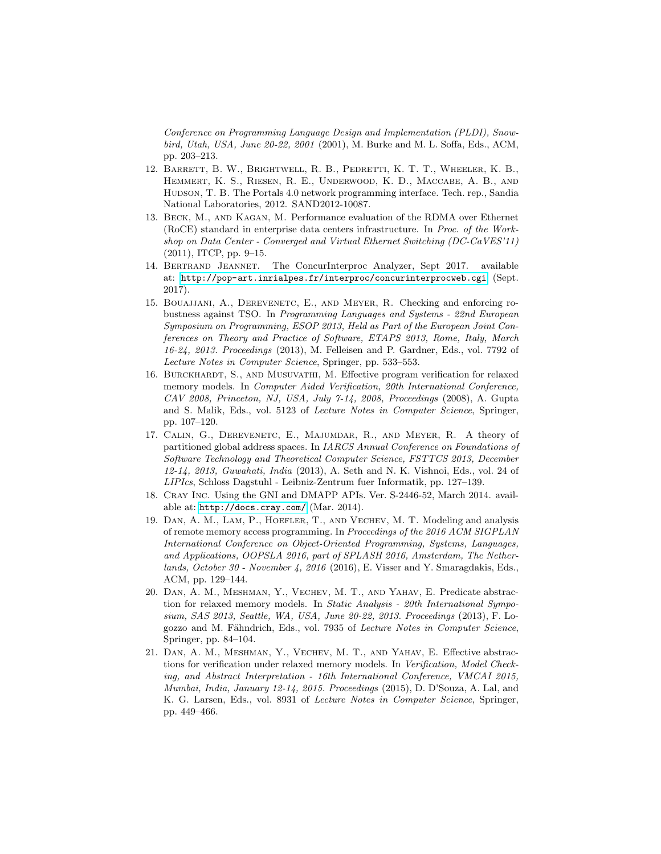Conference on Programming Language Design and Implementation (PLDI), Snowbird, Utah, USA, June 20-22, 2001 (2001), M. Burke and M. L. Soffa, Eds., ACM, pp. 203–213.

- <span id="page-21-1"></span>12. Barrett, B. W., Brightwell, R. B., Pedretti, K. T. T., Wheeler, K. B., Hemmert, K. S., Riesen, R. E., Underwood, K. D., Maccabe, A. B., and Hudson, T. B. The Portals 4.0 network programming interface. Tech. rep., Sandia National Laboratories, 2012. SAND2012-10087.
- <span id="page-21-2"></span>13. Beck, M., and Kagan, M. Performance evaluation of the RDMA over Ethernet (RoCE) standard in enterprise data centers infrastructure. In Proc. of the Workshop on Data Center - Converged and Virtual Ethernet Switching (DC-CaVES'11) (2011), ITCP, pp. 9–15.
- <span id="page-21-6"></span>14. Bertrand Jeannet. The ConcurInterproc Analyzer, Sept 2017. available at: <http://pop-art.inrialpes.fr/interproc/concurinterprocweb.cgi> (Sept. 2017).
- <span id="page-21-8"></span>15. BOUAJJANI, A., DEREVENETC, E., AND MEYER, R. Checking and enforcing robustness against TSO. In Programming Languages and Systems - 22nd European Symposium on Programming, ESOP 2013, Held as Part of the European Joint Conferences on Theory and Practice of Software, ETAPS 2013, Rome, Italy, March 16-24, 2013. Proceedings (2013), M. Felleisen and P. Gardner, Eds., vol. 7792 of Lecture Notes in Computer Science, Springer, pp. 533–553.
- <span id="page-21-9"></span>16. BURCKHARDT, S., AND MUSUVATHI, M. Effective program verification for relaxed memory models. In Computer Aided Verification, 20th International Conference, CAV 2008, Princeton, NJ, USA, July 7-14, 2008, Proceedings (2008), A. Gupta and S. Malik, Eds., vol. 5123 of Lecture Notes in Computer Science, Springer, pp. 107–120.
- <span id="page-21-5"></span>17. Calin, G., Derevenetc, E., Majumdar, R., and Meyer, R. A theory of partitioned global address spaces. In IARCS Annual Conference on Foundations of Software Technology and Theoretical Computer Science, FSTTCS 2013, December 12-14, 2013, Guwahati, India (2013), A. Seth and N. K. Vishnoi, Eds., vol. 24 of LIPIcs, Schloss Dagstuhl - Leibniz-Zentrum fuer Informatik, pp. 127–139.
- <span id="page-21-0"></span>18. Cray Inc. Using the GNI and DMAPP APIs. Ver. S-2446-52, March 2014. available at: <http://docs.cray.com/> (Mar. 2014).
- <span id="page-21-3"></span>19. Dan, A. M., Lam, P., Hoefler, T., and Vechev, M. T. Modeling and analysis of remote memory access programming. In Proceedings of the 2016 ACM SIGPLAN International Conference on Object-Oriented Programming, Systems, Languages, and Applications, OOPSLA 2016, part of SPLASH 2016, Amsterdam, The Netherlands, October 30 - November 4, 2016 (2016), E. Visser and Y. Smaragdakis, Eds., ACM, pp. 129–144.
- <span id="page-21-4"></span>20. Dan, A. M., Meshman, Y., Vechev, M. T., and Yahav, E. Predicate abstraction for relaxed memory models. In Static Analysis - 20th International Symposium, SAS 2013, Seattle, WA, USA, June 20-22, 2013. Proceedings (2013), F. Logozzo and M. Fähndrich, Eds., vol. 7935 of Lecture Notes in Computer Science, Springer, pp. 84–104.
- <span id="page-21-7"></span>21. Dan, A. M., Meshman, Y., Vechev, M. T., and Yahav, E. Effective abstractions for verification under relaxed memory models. In Verification, Model Checking, and Abstract Interpretation - 16th International Conference, VMCAI 2015, Mumbai, India, January 12-14, 2015. Proceedings (2015), D. D'Souza, A. Lal, and K. G. Larsen, Eds., vol. 8931 of Lecture Notes in Computer Science, Springer, pp. 449–466.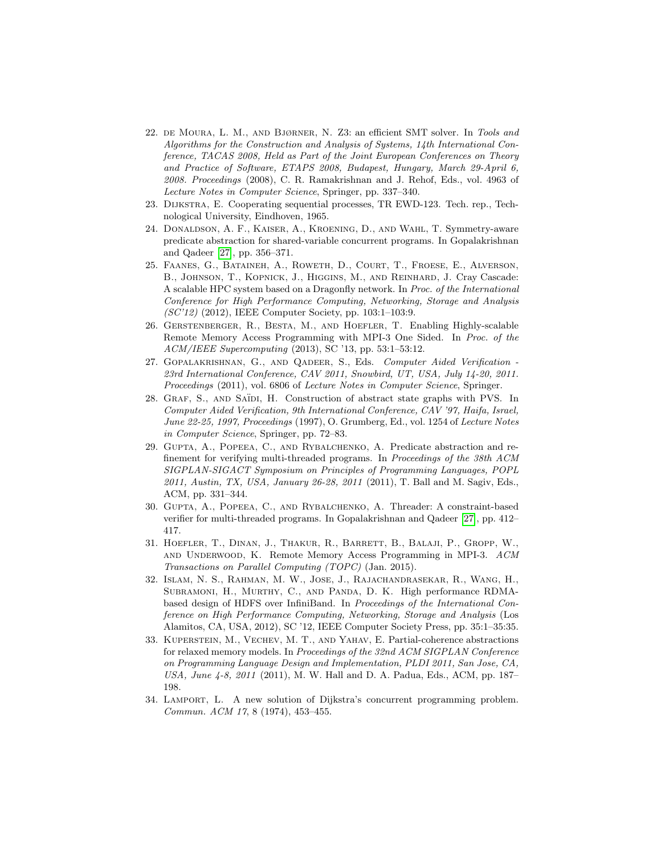- <span id="page-22-8"></span>22. de Moura, L. M., and Bjørner, N. Z3: an efficient SMT solver. In Tools and Algorithms for the Construction and Analysis of Systems, 14th International Conference, TACAS 2008, Held as Part of the Joint European Conferences on Theory and Practice of Software, ETAPS 2008, Budapest, Hungary, March 29-April 6, 2008. Proceedings (2008), C. R. Ramakrishnan and J. Rehof, Eds., vol. 4963 of Lecture Notes in Computer Science, Springer, pp. 337–340.
- <span id="page-22-6"></span>23. Dijkstra, E. Cooperating sequential processes, TR EWD-123. Tech. rep., Technological University, Eindhoven, 1965.
- <span id="page-22-4"></span>24. Donaldson, A. F., Kaiser, A., Kroening, D., and Wahl, T. Symmetry-aware predicate abstraction for shared-variable concurrent programs. In Gopalakrishnan and Qadeer [\[27\]](#page-22-12), pp. 356–371.
- <span id="page-22-1"></span>25. Faanes, G., Bataineh, A., Roweth, D., Court, T., Froese, E., Alverson, B., Johnson, T., Kopnick, J., Higgins, M., and Reinhard, J. Cray Cascade: A scalable HPC system based on a Dragonfly network. In Proc. of the International Conference for High Performance Computing, Networking, Storage and Analysis (SC'12) (2012), IEEE Computer Society, pp. 103:1–103:9.
- <span id="page-22-0"></span>26. Gerstenberger, R., Besta, M., and Hoefler, T. Enabling Highly-scalable Remote Memory Access Programming with MPI-3 One Sided. In Proc. of the ACM/IEEE Supercomputing (2013), SC '13, pp. 53:1–53:12.
- <span id="page-22-12"></span>27. Gopalakrishnan, G., and Qadeer, S., Eds. Computer Aided Verification - 23rd International Conference, CAV 2011, Snowbird, UT, USA, July 14-20, 2011. Proceedings (2011), vol. 6806 of Lecture Notes in Computer Science, Springer.
- <span id="page-22-3"></span>28. Graf, S., and Sa¨ıdi, H. Construction of abstract state graphs with PVS. In Computer Aided Verification, 9th International Conference, CAV '97, Haifa, Israel, June 22-25, 1997, Proceedings (1997), O. Grumberg, Ed., vol. 1254 of Lecture Notes in Computer Science, Springer, pp. 72–83.
- <span id="page-22-10"></span>29. Gupta, A., Popeea, C., and Rybalchenko, A. Predicate abstraction and refinement for verifying multi-threaded programs. In Proceedings of the 38th ACM SIGPLAN-SIGACT Symposium on Principles of Programming Languages, POPL 2011, Austin, TX, USA, January 26-28, 2011 (2011), T. Ball and M. Sagiv, Eds., ACM, pp. 331–344.
- <span id="page-22-5"></span>30. Gupta, A., Popeea, C., and Rybalchenko, A. Threader: A constraint-based verifier for multi-threaded programs. In Gopalakrishnan and Qadeer [\[27\]](#page-22-12), pp. 412– 417.
- <span id="page-22-9"></span>31. Hoefler, T., Dinan, J., Thakur, R., Barrett, B., Balaji, P., Gropp, W., and Underwood, K. Remote Memory Access Programming in MPI-3. ACM Transactions on Parallel Computing (TOPC) (Jan. 2015).
- <span id="page-22-2"></span>32. Islam, N. S., Rahman, M. W., Jose, J., Rajachandrasekar, R., Wang, H., Subramoni, H., Murthy, C., and Panda, D. K. High performance RDMAbased design of HDFS over InfiniBand. In Proceedings of the International Conference on High Performance Computing, Networking, Storage and Analysis (Los Alamitos, CA, USA, 2012), SC '12, IEEE Computer Society Press, pp. 35:1–35:35.
- <span id="page-22-11"></span>33. Kuperstein, M., Vechev, M. T., and Yahav, E. Partial-coherence abstractions for relaxed memory models. In Proceedings of the 32nd ACM SIGPLAN Conference on Programming Language Design and Implementation, PLDI 2011, San Jose, CA, USA, June 4-8, 2011 (2011), M. W. Hall and D. A. Padua, Eds., ACM, pp. 187– 198.
- <span id="page-22-7"></span>34. Lamport, L. A new solution of Dijkstra's concurrent programming problem. Commun. ACM 17, 8 (1974), 453–455.